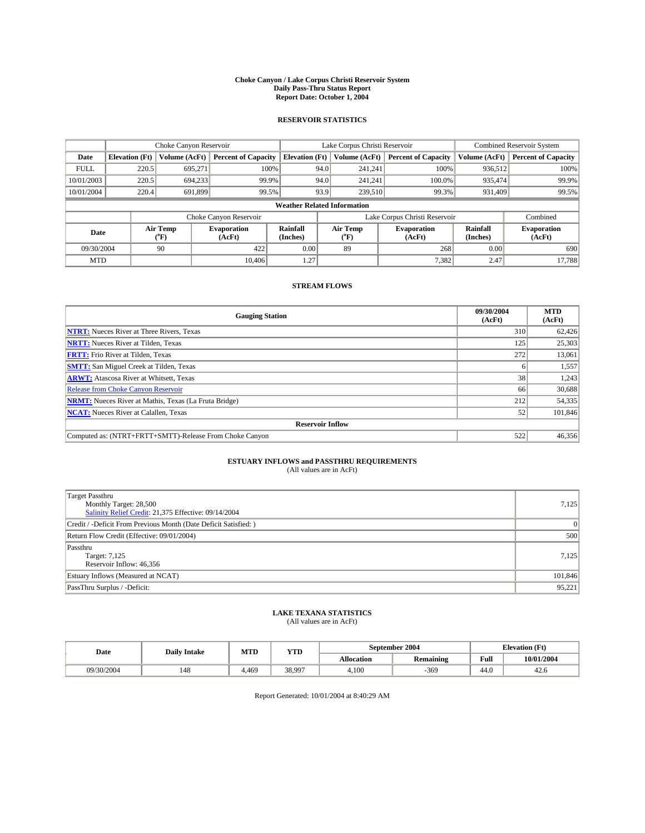#### **Choke Canyon / Lake Corpus Christi Reservoir System Daily Pass-Thru Status Report Report Date: October 1, 2004**

### **RESERVOIR STATISTICS**

|                                    | Choke Canyon Reservoir |                  |                              |                             | Lake Corpus Christi Reservoir |                  |                               |                      | <b>Combined Reservoir System</b> |  |  |
|------------------------------------|------------------------|------------------|------------------------------|-----------------------------|-------------------------------|------------------|-------------------------------|----------------------|----------------------------------|--|--|
| Date                               | <b>Elevation</b> (Ft)  | Volume (AcFt)    | <b>Percent of Capacity</b>   | <b>Elevation (Ft)</b>       |                               | Volume (AcFt)    | <b>Percent of Capacity</b>    | Volume (AcFt)        | <b>Percent of Capacity</b>       |  |  |
| <b>FULL</b>                        | 220.5                  | 695,271          | 100%                         |                             | 94.0                          | 241,241          | 100%                          | 936.512              | 100%                             |  |  |
| 10/01/2003                         | 220.5                  | 694.233          | 99.9%                        |                             | 94.0                          | 241.241          | $100.0\%$                     | 935.474              | 99.9%                            |  |  |
| 10/01/2004                         | 220.4                  | 691.899          | 99.5%                        |                             | 93.9                          | 239,510          | 99.3%                         | 931,409              | 99.5%                            |  |  |
| <b>Weather Related Information</b> |                        |                  |                              |                             |                               |                  |                               |                      |                                  |  |  |
|                                    |                        |                  | Choke Canyon Reservoir       |                             |                               |                  | Lake Corpus Christi Reservoir |                      | Combined                         |  |  |
| Date                               |                        | Air Temp<br>(°F) | <b>Evaporation</b><br>(AcFt) | <b>Rainfall</b><br>(Inches) |                               | Air Temp<br>("F) | <b>Evaporation</b><br>(AcFt)  | Rainfall<br>(Inches) | <b>Evaporation</b><br>(AcFt)     |  |  |
| 09/30/2004                         |                        | 90               | 422                          | 0.00                        |                               | 89               | 268                           | 0.00                 | 690                              |  |  |
| <b>MTD</b>                         |                        |                  | 10.406                       | 1.27'                       |                               |                  | 7,382                         | 2.47                 | 17,788                           |  |  |

## **STREAM FLOWS**

| <b>Gauging Station</b>                                       | 09/30/2004<br>(AcFt) | <b>MTD</b><br>(AcFt) |  |  |  |  |
|--------------------------------------------------------------|----------------------|----------------------|--|--|--|--|
| <b>NTRT:</b> Nueces River at Three Rivers, Texas             | 310                  | 62,426               |  |  |  |  |
| <b>NRTT:</b> Nueces River at Tilden, Texas                   | 125                  | 25,303               |  |  |  |  |
| <b>FRTT:</b> Frio River at Tilden, Texas                     | 272                  | 13,061               |  |  |  |  |
| <b>SMTT:</b> San Miguel Creek at Tilden, Texas               | h                    | 1,557                |  |  |  |  |
| <b>ARWT:</b> Atascosa River at Whitsett, Texas               | 38                   | 1,243                |  |  |  |  |
| Release from Choke Canyon Reservoir                          | 66                   | 30,688               |  |  |  |  |
| <b>NRMT:</b> Nueces River at Mathis, Texas (La Fruta Bridge) | 212                  | 54,335               |  |  |  |  |
| <b>NCAT:</b> Nueces River at Calallen, Texas                 | 52                   | 101,846              |  |  |  |  |
| <b>Reservoir Inflow</b>                                      |                      |                      |  |  |  |  |
| Computed as: (NTRT+FRTT+SMTT)-Release From Choke Canyon      | 522                  | 46,356               |  |  |  |  |

## **ESTUARY INFLOWS and PASSTHRU REQUIREMENTS**<br>(All values are in AcFt)

| <b>Target Passthru</b><br>Monthly Target: 28,500<br>Salinity Relief Credit: 21,375 Effective: 09/14/2004 | 7,125          |
|----------------------------------------------------------------------------------------------------------|----------------|
| Credit / -Deficit From Previous Month (Date Deficit Satisfied: )                                         | $\overline{0}$ |
| Return Flow Credit (Effective: 09/01/2004)                                                               | 500            |
| Passthru<br>Target: 7,125<br>Reservoir Inflow: 46,356                                                    | 7,125          |
| Estuary Inflows (Measured at NCAT)                                                                       | 101,846        |
| PassThru Surplus / -Deficit:                                                                             | 95,221         |

# **LAKE TEXANA STATISTICS** (All values are in AcFt)

| Date       | <b>Daily Intake</b> | MTD    | <b>YTD</b> |                   | September 2004   | <b>Elevation</b> (Ft) |            |
|------------|---------------------|--------|------------|-------------------|------------------|-----------------------|------------|
|            |                     |        |            | <b>Allocation</b> | <b>Remaining</b> | Full                  | 10/01/2004 |
| 09/30/2004 | 148                 | $+469$ | 38.997     | 4.100             | 369              | $\sim$<br>-44.6       | 42.0       |

Report Generated: 10/01/2004 at 8:40:29 AM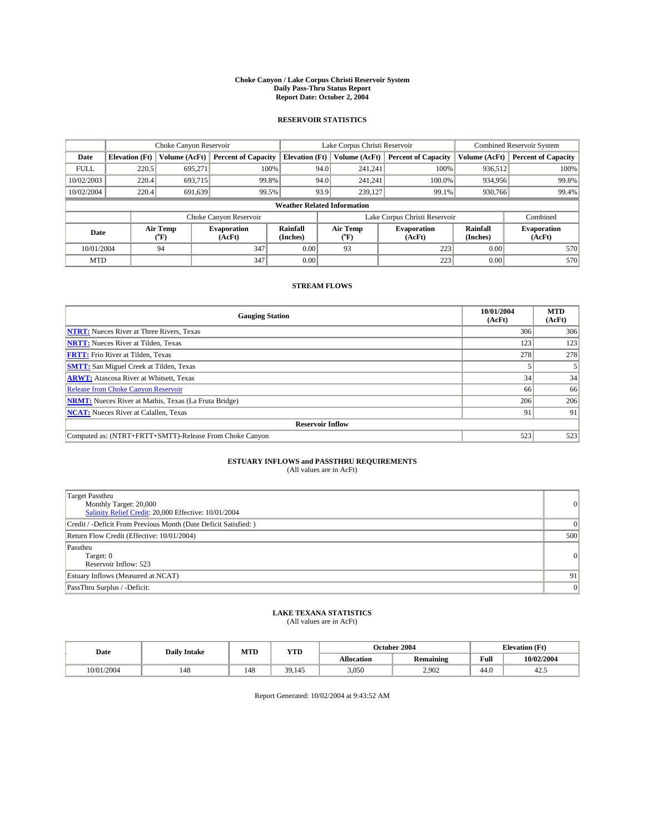#### **Choke Canyon / Lake Corpus Christi Reservoir System Daily Pass-Thru Status Report Report Date: October 2, 2004**

### **RESERVOIR STATISTICS**

|             | Choke Canyon Reservoir             |                             |                              |                             | Lake Corpus Christi Reservoir |                  |                               |                      | <b>Combined Reservoir System</b> |  |  |
|-------------|------------------------------------|-----------------------------|------------------------------|-----------------------------|-------------------------------|------------------|-------------------------------|----------------------|----------------------------------|--|--|
| Date        | <b>Elevation</b> (Ft)              | Volume (AcFt)               | <b>Percent of Capacity</b>   | <b>Elevation</b> (Ft)       |                               | Volume (AcFt)    | <b>Percent of Capacity</b>    | Volume (AcFt)        | <b>Percent of Capacity</b>       |  |  |
| <b>FULL</b> | 220.5                              | 695,271                     |                              | 100%                        | 94.0                          | 241,241          | 100%                          | 936.512              | 100%                             |  |  |
| 10/02/2003  | 220.4                              | 693,715                     |                              | 99.8%                       | 94.0                          | 241.241          | $100.0\%$                     | 934,956              | 99.8%                            |  |  |
| 10/02/2004  | 220.4                              | 691,639                     |                              | 99.5%                       | 93.9                          | 239,127          | 99.1%                         | 930,766              | 99.4%                            |  |  |
|             | <b>Weather Related Information</b> |                             |                              |                             |                               |                  |                               |                      |                                  |  |  |
|             |                                    |                             | Choke Canyon Reservoir       |                             |                               |                  | Lake Corpus Christi Reservoir |                      | Combined                         |  |  |
| Date        |                                    | Air Temp<br>${}^{\circ}$ F) | <b>Evaporation</b><br>(AcFt) | <b>Rainfall</b><br>(Inches) |                               | Air Temp<br>("F) | <b>Evaporation</b><br>(AcFt)  | Rainfall<br>(Inches) | <b>Evaporation</b><br>(AcFt)     |  |  |
| 10/01/2004  |                                    | 94                          | 347                          | 0.00                        |                               | 93               | 223                           | 0.00                 | 570                              |  |  |
| <b>MTD</b>  |                                    |                             | 347                          | 0.00                        |                               |                  | 223                           | 0.00                 | 570                              |  |  |

## **STREAM FLOWS**

| <b>Gauging Station</b>                                       | 10/01/2004<br>(AcFt) | <b>MTD</b><br>(AcFt) |  |  |  |  |
|--------------------------------------------------------------|----------------------|----------------------|--|--|--|--|
| <b>NTRT:</b> Nueces River at Three Rivers, Texas             | 306                  | 306                  |  |  |  |  |
| <b>NRTT:</b> Nueces River at Tilden, Texas                   | 123                  | 123                  |  |  |  |  |
| <b>FRTT:</b> Frio River at Tilden, Texas                     | 278                  | 278                  |  |  |  |  |
| <b>SMTT:</b> San Miguel Creek at Tilden, Texas               |                      |                      |  |  |  |  |
| <b>ARWT:</b> Atascosa River at Whitsett, Texas               | 34                   | 34                   |  |  |  |  |
| Release from Choke Canyon Reservoir                          | 66                   | 66                   |  |  |  |  |
| <b>NRMT:</b> Nueces River at Mathis, Texas (La Fruta Bridge) | 206                  | 206                  |  |  |  |  |
| <b>NCAT:</b> Nueces River at Calallen, Texas                 | 91                   | 91                   |  |  |  |  |
| <b>Reservoir Inflow</b>                                      |                      |                      |  |  |  |  |
| Computed as: (NTRT+FRTT+SMTT)-Release From Choke Canyon      | 523                  | 523                  |  |  |  |  |

## **ESTUARY INFLOWS and PASSTHRU REQUIREMENTS**<br>(All values are in AcFt)

| <b>Target Passthru</b><br>Monthly Target: 20,000<br>Salinity Relief Credit: 20,000 Effective: 10/01/2004 | $\overline{0}$ |
|----------------------------------------------------------------------------------------------------------|----------------|
| Credit / -Deficit From Previous Month (Date Deficit Satisfied: )                                         | $\Omega$       |
| Return Flow Credit (Effective: 10/01/2004)                                                               | 500            |
| Passthru<br>Target: 0<br>Reservoir Inflow: 523                                                           | 0              |
| Estuary Inflows (Measured at NCAT)                                                                       | 91             |
| PassThru Surplus / -Deficit:                                                                             | 0              |

# **LAKE TEXANA STATISTICS** (All values are in AcFt)

| Date       | <b>Daily Intake</b> | MTD | YTD           |                   | October 2004                  | <b>Elevation</b> (Ft) |            |
|------------|---------------------|-----|---------------|-------------------|-------------------------------|-----------------------|------------|
|            |                     |     |               | <b>Allocation</b> | $\cdot$ .<br><b>Remaining</b> | Full                  | 10/02/2004 |
| 10/01/2004 | 148                 | 148 | 301<br>39.145 | 3,050             | 2,902                         | $\sim$<br>44.V        | 42.3       |

Report Generated: 10/02/2004 at 9:43:52 AM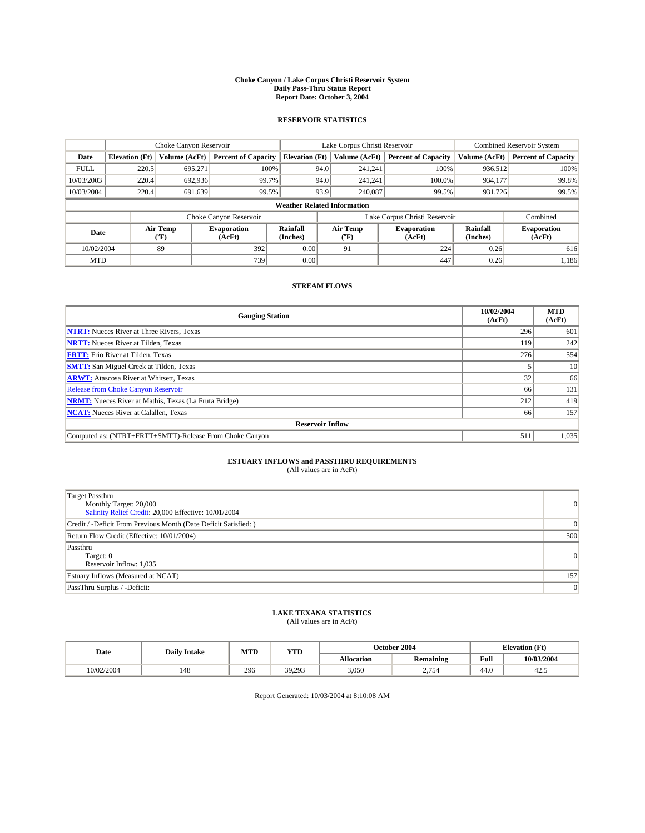#### **Choke Canyon / Lake Corpus Christi Reservoir System Daily Pass-Thru Status Report Report Date: October 3, 2004**

### **RESERVOIR STATISTICS**

|             | Choke Canyon Reservoir             |                  |                              |                             | Lake Corpus Christi Reservoir |                  |                               |                      | <b>Combined Reservoir System</b> |  |  |
|-------------|------------------------------------|------------------|------------------------------|-----------------------------|-------------------------------|------------------|-------------------------------|----------------------|----------------------------------|--|--|
| Date        | <b>Elevation</b> (Ft)              | Volume (AcFt)    | <b>Percent of Capacity</b>   | <b>Elevation (Ft)</b>       |                               | Volume (AcFt)    | <b>Percent of Capacity</b>    | Volume (AcFt)        | <b>Percent of Capacity</b>       |  |  |
| <b>FULL</b> | 220.5                              | 695,271          | 100%                         |                             | 94.0                          | 241,241          | 100%                          | 936.512              | 100%                             |  |  |
| 10/03/2003  | 220.4                              | 692.936          | 99.7%                        |                             | 94.0                          | 241.241          | $100.0\%$                     | 934.177              | 99.8%                            |  |  |
| 10/03/2004  | 220.4                              | 691.639          | 99.5%                        |                             | 93.9                          | 240,087          | 99.5%                         | 931,726              | 99.5%                            |  |  |
|             | <b>Weather Related Information</b> |                  |                              |                             |                               |                  |                               |                      |                                  |  |  |
|             |                                    |                  | Choke Canyon Reservoir       |                             |                               |                  | Lake Corpus Christi Reservoir |                      | Combined                         |  |  |
| Date        |                                    | Air Temp<br>(°F) | <b>Evaporation</b><br>(AcFt) | <b>Rainfall</b><br>(Inches) |                               | Air Temp<br>("F) | <b>Evaporation</b><br>(AcFt)  | Rainfall<br>(Inches) | <b>Evaporation</b><br>(AcFt)     |  |  |
| 10/02/2004  |                                    | 89               | 392                          | 0.00                        |                               | 91               | 224                           | 0.26                 | 616                              |  |  |
| <b>MTD</b>  |                                    |                  | 739                          | 0.00                        |                               |                  | 447                           | 0.26                 | 1,186                            |  |  |

## **STREAM FLOWS**

| <b>Gauging Station</b>                                       | 10/02/2004<br>(AcFt) | <b>MTD</b><br>(AcFt) |  |  |  |  |
|--------------------------------------------------------------|----------------------|----------------------|--|--|--|--|
| <b>NTRT:</b> Nueces River at Three Rivers, Texas             | 296                  | 601                  |  |  |  |  |
| <b>NRTT:</b> Nueces River at Tilden, Texas                   | 119                  | 242                  |  |  |  |  |
| <b>FRTT:</b> Frio River at Tilden, Texas                     | 276                  | 554                  |  |  |  |  |
| <b>SMTT:</b> San Miguel Creek at Tilden, Texas               |                      | 10 <sup>1</sup>      |  |  |  |  |
| <b>ARWT:</b> Atascosa River at Whitsett, Texas               | 32 <sub>1</sub>      | 66                   |  |  |  |  |
| Release from Choke Canyon Reservoir                          | 66                   | 131                  |  |  |  |  |
| <b>NRMT:</b> Nueces River at Mathis, Texas (La Fruta Bridge) | 212                  | 419                  |  |  |  |  |
| <b>NCAT:</b> Nueces River at Calallen, Texas                 | 66                   | 157                  |  |  |  |  |
| <b>Reservoir Inflow</b>                                      |                      |                      |  |  |  |  |
| Computed as: (NTRT+FRTT+SMTT)-Release From Choke Canyon      | 511                  | 1,035                |  |  |  |  |

## **ESTUARY INFLOWS and PASSTHRU REQUIREMENTS**<br>(All values are in AcFt)

| Target Passthru<br>Monthly Target: 20,000<br>Salinity Relief Credit: 20,000 Effective: 10/01/2004 | $\overline{0}$ |
|---------------------------------------------------------------------------------------------------|----------------|
| Credit / -Deficit From Previous Month (Date Deficit Satisfied: )                                  |                |
| Return Flow Credit (Effective: 10/01/2004)                                                        | 500            |
| Passthru<br>Target: 0<br>Reservoir Inflow: 1,035                                                  | 0              |
| Estuary Inflows (Measured at NCAT)                                                                | 157            |
| PassThru Surplus / -Deficit:                                                                      | 0              |

# **LAKE TEXANA STATISTICS** (All values are in AcFt)

| Date       | <b>Daily Intake</b> | MTD | YTD                     |                   | October 2004                             | <b>Elevation</b> (Ft) |            |
|------------|---------------------|-----|-------------------------|-------------------|------------------------------------------|-----------------------|------------|
|            |                     |     |                         | <b>Allocation</b> | <b>Remaining</b>                         | Full                  | 10/03/2004 |
| 10/02/2004 | 148                 | 296 | 39.293<br><i>37.273</i> | 3,050             | 1754<br>$\sim$ , $\prime$ $\cup$ $\cdot$ | $\sim$<br>44.U        | 42.3       |

Report Generated: 10/03/2004 at 8:10:08 AM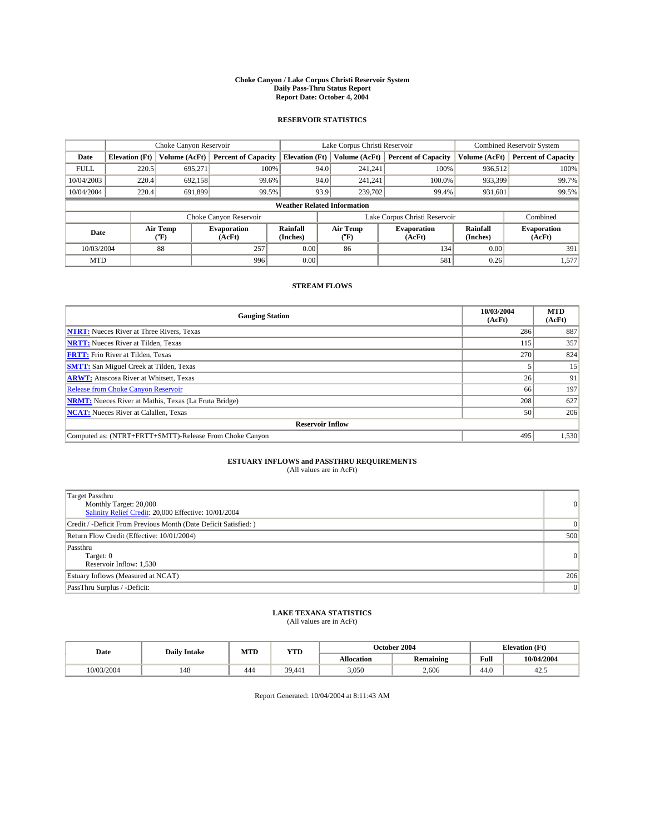#### **Choke Canyon / Lake Corpus Christi Reservoir System Daily Pass-Thru Status Report Report Date: October 4, 2004**

### **RESERVOIR STATISTICS**

|             | Choke Canyon Reservoir             |                  |                              |                             | Lake Corpus Christi Reservoir |                  |                               |                      | <b>Combined Reservoir System</b> |  |
|-------------|------------------------------------|------------------|------------------------------|-----------------------------|-------------------------------|------------------|-------------------------------|----------------------|----------------------------------|--|
| Date        | <b>Elevation</b> (Ft)              | Volume (AcFt)    | <b>Percent of Capacity</b>   | <b>Elevation (Ft)</b>       |                               | Volume (AcFt)    | <b>Percent of Capacity</b>    | Volume (AcFt)        | <b>Percent of Capacity</b>       |  |
| <b>FULL</b> | 220.5                              | 695,271          | 100%                         |                             | 94.0                          | 241,241          | 100%                          | 936.512              | 100%                             |  |
| 10/04/2003  | 220.4                              | 692.158          | 99.6%                        |                             | 94.0                          | 241.241          | $100.0\%$                     | 933,399              | 99.7%                            |  |
| 10/04/2004  | 220.4                              | 691.899          | 99.5%                        |                             | 93.9                          | 239,702          | 99.4%                         | 931,601              | 99.5%                            |  |
|             | <b>Weather Related Information</b> |                  |                              |                             |                               |                  |                               |                      |                                  |  |
|             |                                    |                  | Choke Canyon Reservoir       |                             |                               |                  | Lake Corpus Christi Reservoir |                      | Combined                         |  |
| Date        |                                    | Air Temp<br>(°F) | <b>Evaporation</b><br>(AcFt) | <b>Rainfall</b><br>(Inches) |                               | Air Temp<br>("F) | <b>Evaporation</b><br>(AcFt)  | Rainfall<br>(Inches) | <b>Evaporation</b><br>(AcFt)     |  |
| 10/03/2004  |                                    | 88               | 257                          | 0.00                        |                               | 86               | 134                           | 0.00                 | 391                              |  |
| <b>MTD</b>  |                                    |                  | 996                          | 0.00                        |                               |                  | 581                           | 0.26                 | 1,577                            |  |

## **STREAM FLOWS**

| <b>Gauging Station</b>                                       | 10/03/2004<br>(AcFt) | <b>MTD</b><br>(AcFt) |
|--------------------------------------------------------------|----------------------|----------------------|
| <b>NTRT:</b> Nueces River at Three Rivers, Texas             | 286                  | 887                  |
| <b>NRTT:</b> Nueces River at Tilden, Texas                   | 115                  | 357                  |
| <b>FRTT:</b> Frio River at Tilden, Texas                     | 270                  | 824                  |
| <b>SMTT:</b> San Miguel Creek at Tilden, Texas               |                      | 15                   |
| <b>ARWT:</b> Atascosa River at Whitsett, Texas               | 26                   | 91                   |
| <b>Release from Choke Canyon Reservoir</b>                   | 66                   | 197                  |
| <b>NRMT:</b> Nueces River at Mathis, Texas (La Fruta Bridge) | 208                  | 627                  |
| <b>NCAT:</b> Nueces River at Calallen, Texas                 | 50                   | 206                  |
| <b>Reservoir Inflow</b>                                      |                      |                      |
| Computed as: (NTRT+FRTT+SMTT)-Release From Choke Canyon      | 495                  | 1,530                |

## **ESTUARY INFLOWS and PASSTHRU REQUIREMENTS**<br>(All values are in AcFt)

| Target Passthru<br>Monthly Target: 20,000<br>Salinity Relief Credit: 20,000 Effective: 10/01/2004 | $\overline{0}$ |
|---------------------------------------------------------------------------------------------------|----------------|
| Credit / -Deficit From Previous Month (Date Deficit Satisfied: )                                  |                |
| Return Flow Credit (Effective: 10/01/2004)                                                        | 500            |
| Passthru<br>Target: 0<br>Reservoir Inflow: 1,530                                                  | $\overline{0}$ |
| Estuary Inflows (Measured at NCAT)                                                                | 206            |
| PassThru Surplus / -Deficit:                                                                      | 0              |

# **LAKE TEXANA STATISTICS** (All values are in AcFt)

| Date       | <b>Daily Intake</b> | MTD | YTD    |                   | October 2004                  | <b>Elevation</b> (Ft) |            |
|------------|---------------------|-----|--------|-------------------|-------------------------------|-----------------------|------------|
|            |                     |     |        | <b>Allocation</b> | $\cdot$ .<br><b>Remaining</b> | Full                  | 10/04/2004 |
| 10/03/2004 | 148                 | 444 | 39,441 | 3,050             | 2,606                         | $\sim$<br>44.V        | 42.3       |

Report Generated: 10/04/2004 at 8:11:43 AM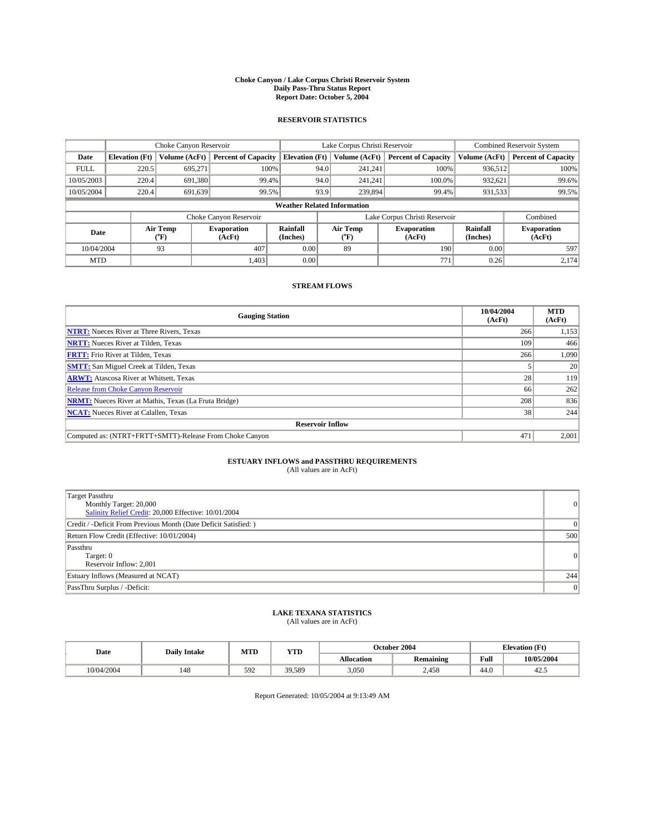#### **Choke Canyon / Lake Corpus Christi Reservoir System Daily Pass-Thru Status Report Report Date: October 5, 2004**

### **RESERVOIR STATISTICS**

|             | Choke Canyon Reservoir             |                  |                              |                             | Lake Corpus Christi Reservoir |                  |                               |                      | <b>Combined Reservoir System</b> |  |
|-------------|------------------------------------|------------------|------------------------------|-----------------------------|-------------------------------|------------------|-------------------------------|----------------------|----------------------------------|--|
| Date        | <b>Elevation</b> (Ft)              | Volume (AcFt)    | <b>Percent of Capacity</b>   | <b>Elevation (Ft)</b>       |                               | Volume (AcFt)    | <b>Percent of Capacity</b>    | Volume (AcFt)        | <b>Percent of Capacity</b>       |  |
| <b>FULL</b> | 220.5                              | 695,271          |                              | 100%                        | 94.0                          | 241,241          | 100%                          | 936.512              | 100%                             |  |
| 10/05/2003  | 220.4                              | 691.380          | 99.4%                        |                             | 94.0                          | 241.241          | $100.0\%$                     | 932,621              | 99.6%                            |  |
| 10/05/2004  | 220.4                              | 691.639          | 99.5%                        |                             | 93.9                          | 239,894          | 99.4%                         | 931,533              | 99.5%                            |  |
|             | <b>Weather Related Information</b> |                  |                              |                             |                               |                  |                               |                      |                                  |  |
|             |                                    |                  | Choke Canyon Reservoir       |                             |                               |                  | Lake Corpus Christi Reservoir |                      | Combined                         |  |
| Date        |                                    | Air Temp<br>(°F) | <b>Evaporation</b><br>(AcFt) | <b>Rainfall</b><br>(Inches) |                               | Air Temp<br>("F) | <b>Evaporation</b><br>(AcFt)  | Rainfall<br>(Inches) | <b>Evaporation</b><br>(AcFt)     |  |
| 10/04/2004  |                                    | 93               | 407                          | 0.00                        |                               | 89               | 190                           | 0.00                 | 597                              |  |
| <b>MTD</b>  |                                    |                  | 1,403                        | 0.00                        |                               |                  | 771                           | 0.26                 | 2,174                            |  |

## **STREAM FLOWS**

| <b>Gauging Station</b>                                       | 10/04/2004<br>(AcFt) | <b>MTD</b><br>(AcFt) |
|--------------------------------------------------------------|----------------------|----------------------|
| <b>NTRT:</b> Nueces River at Three Rivers, Texas             | 266                  | 1,153                |
| <b>NRTT:</b> Nueces River at Tilden, Texas                   | 109                  | 466                  |
| <b>FRTT:</b> Frio River at Tilden, Texas                     | 266                  | 1,090                |
| <b>SMTT:</b> San Miguel Creek at Tilden, Texas               |                      | 20                   |
| <b>ARWT:</b> Atascosa River at Whitsett, Texas               | 28 <sub>1</sub>      | 119                  |
| <b>Release from Choke Canyon Reservoir</b>                   | 66                   | 262                  |
| <b>NRMT:</b> Nueces River at Mathis, Texas (La Fruta Bridge) | 208                  | 836                  |
| <b>NCAT:</b> Nueces River at Calallen, Texas                 | 38                   | 244                  |
| <b>Reservoir Inflow</b>                                      |                      |                      |
| Computed as: (NTRT+FRTT+SMTT)-Release From Choke Canyon      | 471                  | 2,001                |

## **ESTUARY INFLOWS and PASSTHRU REQUIREMENTS**<br>(All values are in AcFt)

| Target Passthru<br>Monthly Target: 20,000<br>Salinity Relief Credit: 20,000 Effective: 10/01/2004 | $\overline{0}$ |
|---------------------------------------------------------------------------------------------------|----------------|
| Credit / -Deficit From Previous Month (Date Deficit Satisfied: )                                  |                |
| Return Flow Credit (Effective: 10/01/2004)                                                        | 500            |
| Passthru<br>Target: 0<br>Reservoir Inflow: 2,001                                                  | $\overline{0}$ |
| Estuary Inflows (Measured at NCAT)                                                                | 244            |
| PassThru Surplus / -Deficit:                                                                      | 0              |

# **LAKE TEXANA STATISTICS** (All values are in AcFt)

| Date       | <b>Daily Intake</b> | MTD | <b>YTD</b> |                   | October 2004     | <b>Elevation</b> (Ft) |            |
|------------|---------------------|-----|------------|-------------------|------------------|-----------------------|------------|
|            |                     |     |            | <b>Allocation</b> | <b>Remaining</b> | Full                  | 10/05/2004 |
| 10/04/2004 | 148                 | 592 | 39,589     | 3,050             | 2,458            | $\sim$<br>44.V        | 42.J       |

Report Generated: 10/05/2004 at 9:13:49 AM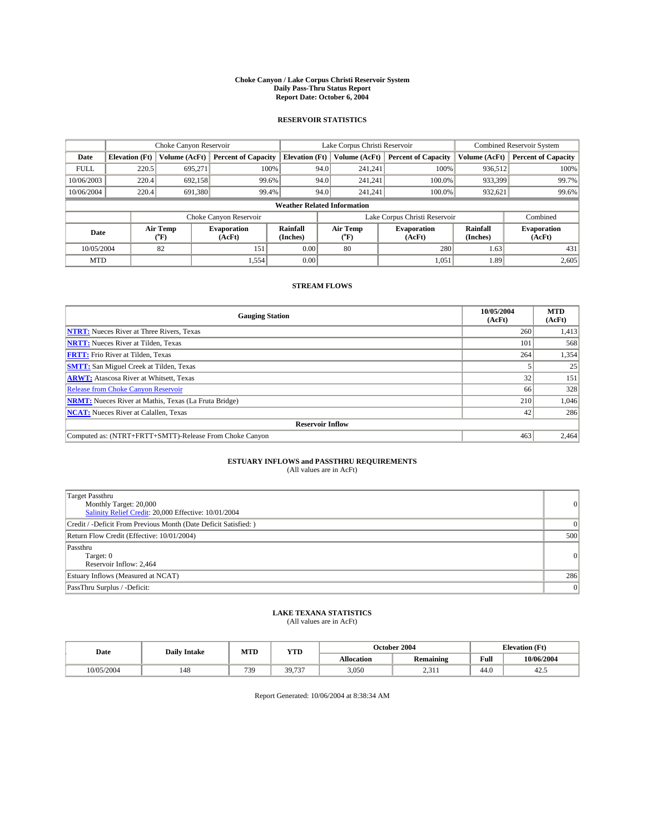#### **Choke Canyon / Lake Corpus Christi Reservoir System Daily Pass-Thru Status Report Report Date: October 6, 2004**

### **RESERVOIR STATISTICS**

|                                    | Choke Canyon Reservoir |                  |                              |                             | Lake Corpus Christi Reservoir |                  |                               |                      | <b>Combined Reservoir System</b> |  |  |
|------------------------------------|------------------------|------------------|------------------------------|-----------------------------|-------------------------------|------------------|-------------------------------|----------------------|----------------------------------|--|--|
| Date                               | <b>Elevation</b> (Ft)  | Volume (AcFt)    | <b>Percent of Capacity</b>   | <b>Elevation (Ft)</b>       |                               | Volume (AcFt)    | <b>Percent of Capacity</b>    | Volume (AcFt)        | <b>Percent of Capacity</b>       |  |  |
| <b>FULL</b>                        | 220.5                  | 695,271          | 100%                         |                             | 94.0                          | 241,241          | 100%                          | 936.512              | 100%                             |  |  |
| 10/06/2003                         | 220.4                  | 692.158          | 99.6%                        |                             | 94.0                          | 241.241          | $100.0\%$                     | 933,399              | 99.7%                            |  |  |
| 10/06/2004                         | 220.4                  | 691,380          | 99.4%                        |                             | 94.0                          | 241.241          | $100.0\%$                     | 932,621              | 99.6%                            |  |  |
| <b>Weather Related Information</b> |                        |                  |                              |                             |                               |                  |                               |                      |                                  |  |  |
|                                    |                        |                  | Choke Canyon Reservoir       |                             |                               |                  | Lake Corpus Christi Reservoir |                      | Combined                         |  |  |
| Date                               |                        | Air Temp<br>(°F) | <b>Evaporation</b><br>(AcFt) | <b>Rainfall</b><br>(Inches) |                               | Air Temp<br>("F) | <b>Evaporation</b><br>(AcFt)  | Rainfall<br>(Inches) | <b>Evaporation</b><br>(AcFt)     |  |  |
| 10/05/2004                         |                        | 82               | 151                          | 0.00                        |                               | 80               | 280                           | 1.63                 | 431                              |  |  |
| <b>MTD</b>                         |                        |                  | 1,554                        | 0.00                        |                               |                  | 1,051                         | 1.89                 | 2,605                            |  |  |

## **STREAM FLOWS**

| <b>Gauging Station</b>                                       | 10/05/2004<br>(AcFt) | <b>MTD</b><br>(AcFt) |
|--------------------------------------------------------------|----------------------|----------------------|
| <b>NTRT:</b> Nueces River at Three Rivers, Texas             | 260                  | 1,413                |
| <b>NRTT:</b> Nueces River at Tilden, Texas                   | 101                  | 568                  |
| <b>FRTT:</b> Frio River at Tilden, Texas                     | 264                  | 1,354                |
| <b>SMTT:</b> San Miguel Creek at Tilden, Texas               |                      | 25                   |
| <b>ARWT:</b> Atascosa River at Whitsett, Texas               | 32 <sub>1</sub>      | 151                  |
| <b>Release from Choke Canyon Reservoir</b>                   | 66                   | 328                  |
| <b>NRMT:</b> Nueces River at Mathis, Texas (La Fruta Bridge) | 210                  | 1.046                |
| <b>NCAT:</b> Nueces River at Calallen, Texas                 | 42                   | 286                  |
| <b>Reservoir Inflow</b>                                      |                      |                      |
| Computed as: (NTRT+FRTT+SMTT)-Release From Choke Canyon      | 463                  | 2,464                |

## **ESTUARY INFLOWS and PASSTHRU REQUIREMENTS**<br>(All values are in AcFt)

| <b>Target Passthru</b><br>Monthly Target: 20,000<br>Salinity Relief Credit: 20,000 Effective: 10/01/2004 | $\overline{0}$ |
|----------------------------------------------------------------------------------------------------------|----------------|
| Credit / -Deficit From Previous Month (Date Deficit Satisfied: )                                         | $\Omega$       |
| Return Flow Credit (Effective: 10/01/2004)                                                               | 500            |
| Passthru<br>Target: 0<br>Reservoir Inflow: 2,464                                                         | 0              |
| Estuary Inflows (Measured at NCAT)                                                                       | 286            |
| PassThru Surplus / -Deficit:                                                                             | 0              |

# **LAKE TEXANA STATISTICS** (All values are in AcFt)

| Date       | <b>Daily Intake</b> | MTD | <b>YTD</b>               |                   | October 2004                                         | <b>Elevation</b> (Ft) |            |
|------------|---------------------|-----|--------------------------|-------------------|------------------------------------------------------|-----------------------|------------|
|            |                     |     |                          | <b>Allocation</b> | <b>Remaining</b>                                     | Full                  | 10/06/2004 |
| 10/05/2004 | 148                 | 739 | 39.737<br>$\overline{ }$ | 3.050             | 0.21<br>$\sim$<br>$\sim$ $\sim$ $\sim$ $\sim$ $\sim$ | $\sim$<br>44.U        | 42.3       |

Report Generated: 10/06/2004 at 8:38:34 AM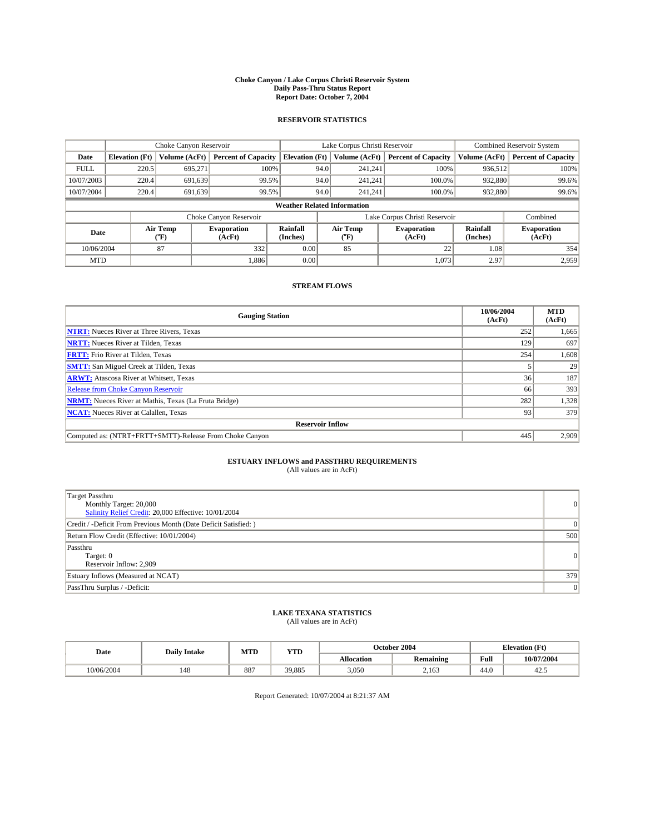#### **Choke Canyon / Lake Corpus Christi Reservoir System Daily Pass-Thru Status Report Report Date: October 7, 2004**

### **RESERVOIR STATISTICS**

|             | Choke Canyon Reservoir             |                  |                              |                             | Lake Corpus Christi Reservoir |                  |                               |                      | <b>Combined Reservoir System</b> |  |  |
|-------------|------------------------------------|------------------|------------------------------|-----------------------------|-------------------------------|------------------|-------------------------------|----------------------|----------------------------------|--|--|
| Date        | <b>Elevation</b> (Ft)              | Volume (AcFt)    | <b>Percent of Capacity</b>   | <b>Elevation (Ft)</b>       |                               | Volume (AcFt)    | <b>Percent of Capacity</b>    | Volume (AcFt)        | <b>Percent of Capacity</b>       |  |  |
| <b>FULL</b> | 220.5                              | 695,271          | 100%                         |                             | 94.0                          | 241,241          | 100%                          | 936.512              | 100%                             |  |  |
| 10/07/2003  | 220.4                              | 691.639          | 99.5%                        |                             | 94.0                          | 241.241          | $100.0\%$                     | 932,880              | 99.6%                            |  |  |
| 10/07/2004  | 220.4                              | 691.639          | 99.5%                        |                             | 94.0                          | 241,241          | $100.0\%$                     | 932,880              | 99.6%                            |  |  |
|             | <b>Weather Related Information</b> |                  |                              |                             |                               |                  |                               |                      |                                  |  |  |
|             |                                    |                  | Choke Canyon Reservoir       |                             |                               |                  | Lake Corpus Christi Reservoir |                      | Combined                         |  |  |
| Date        |                                    | Air Temp<br>(°F) | <b>Evaporation</b><br>(AcFt) | <b>Rainfall</b><br>(Inches) |                               | Air Temp<br>("F) | <b>Evaporation</b><br>(AcFt)  | Rainfall<br>(Inches) | <b>Evaporation</b><br>(AcFt)     |  |  |
| 10/06/2004  |                                    | 87               | 332                          | 0.00                        |                               | 85               | 22                            | 1.08                 | 354                              |  |  |
| <b>MTD</b>  |                                    |                  | 1,886                        | 0.00                        |                               |                  | 1,073                         | 2.97                 | 2,959                            |  |  |

## **STREAM FLOWS**

| <b>Gauging Station</b>                                       | 10/06/2004<br>(AcFt) | <b>MTD</b><br>(AcFt) |  |  |  |  |
|--------------------------------------------------------------|----------------------|----------------------|--|--|--|--|
| <b>NTRT:</b> Nueces River at Three Rivers, Texas             | 252                  | 1,665                |  |  |  |  |
| <b>NRTT:</b> Nueces River at Tilden, Texas                   | 129                  | 697                  |  |  |  |  |
| <b>FRTT:</b> Frio River at Tilden, Texas                     | 254                  | 1,608                |  |  |  |  |
| <b>SMTT:</b> San Miguel Creek at Tilden, Texas               |                      | 29                   |  |  |  |  |
| <b>ARWT:</b> Atascosa River at Whitsett, Texas               | 36                   | 187                  |  |  |  |  |
| <b>Release from Choke Canyon Reservoir</b>                   | 66                   | 393                  |  |  |  |  |
| <b>NRMT:</b> Nueces River at Mathis, Texas (La Fruta Bridge) | 282                  | 1,328                |  |  |  |  |
| <b>NCAT:</b> Nueces River at Calallen, Texas                 | 93                   | 379                  |  |  |  |  |
| <b>Reservoir Inflow</b>                                      |                      |                      |  |  |  |  |
| Computed as: (NTRT+FRTT+SMTT)-Release From Choke Canyon      | 445                  | 2,909                |  |  |  |  |

## **ESTUARY INFLOWS and PASSTHRU REQUIREMENTS**<br>(All values are in AcFt)

| Target Passthru<br>Monthly Target: 20,000<br>Salinity Relief Credit: 20,000 Effective: 10/01/2004 | $\overline{0}$ |
|---------------------------------------------------------------------------------------------------|----------------|
| Credit / -Deficit From Previous Month (Date Deficit Satisfied: )                                  |                |
| Return Flow Credit (Effective: 10/01/2004)                                                        | 500            |
| Passthru<br>Target: 0<br>Reservoir Inflow: 2,909                                                  | $\overline{0}$ |
| Estuary Inflows (Measured at NCAT)                                                                | 379            |
| PassThru Surplus / -Deficit:                                                                      | 0              |

# **LAKE TEXANA STATISTICS** (All values are in AcFt)

| Date       | <b>Daily Intake</b> | MTD | YTD    |                   | October 2004     | <b>Elevation</b> (Ft) |            |
|------------|---------------------|-----|--------|-------------------|------------------|-----------------------|------------|
|            |                     |     |        | <b>Allocation</b> | <b>Remaining</b> | Full                  | 10/07/2004 |
| 10/06/2004 | 148                 | 887 | 39.885 | 3,050             | 2,163            | $\sim$<br>44.U        | 42.3       |

Report Generated: 10/07/2004 at 8:21:37 AM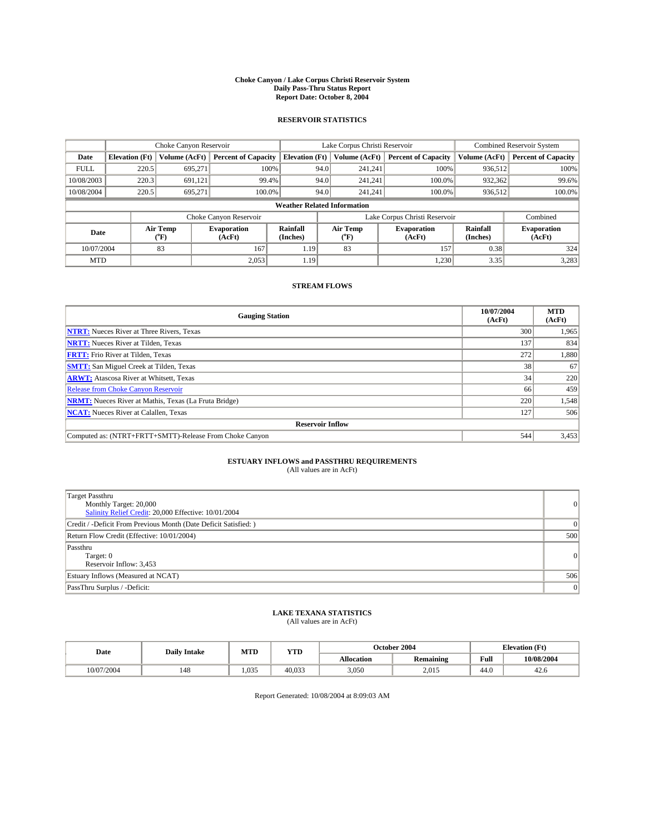#### **Choke Canyon / Lake Corpus Christi Reservoir System Daily Pass-Thru Status Report Report Date: October 8, 2004**

### **RESERVOIR STATISTICS**

|                                    |                       |                          | Lake Corpus Christi Reservoir |                             |      |                  | <b>Combined Reservoir System</b> |                      |                              |
|------------------------------------|-----------------------|--------------------------|-------------------------------|-----------------------------|------|------------------|----------------------------------|----------------------|------------------------------|
| Date                               | <b>Elevation</b> (Ft) | Volume (AcFt)            | <b>Percent of Capacity</b>    | <b>Elevation</b> (Ft)       |      | Volume (AcFt)    | <b>Percent of Capacity</b>       | Volume (AcFt)        | <b>Percent of Capacity</b>   |
| <b>FULL</b>                        | 220.5                 | 695.271                  |                               | 100%                        | 94.0 | 241,241          | 100%                             | 936,512              | 100%                         |
| 10/08/2003                         | 220.3                 | 691.121                  | 99.4%                         |                             | 94.0 | 241.241          | 100.0%                           | 932.362              | 99.6%                        |
| 10/08/2004                         | 220.5                 | 695,271                  | 100.0%                        |                             | 94.0 | 241,241          | 100.0%                           | 936,512              | 100.0%                       |
| <b>Weather Related Information</b> |                       |                          |                               |                             |      |                  |                                  |                      |                              |
|                                    |                       |                          | Choke Canyon Reservoir        |                             |      |                  | Lake Corpus Christi Reservoir    |                      | Combined                     |
| Date                               |                       | Air Temp<br>$\rm ^{6}F)$ | <b>Evaporation</b><br>(AcFt)  | <b>Rainfall</b><br>(Inches) |      | Air Temp<br>("F) | <b>Evaporation</b><br>(AcFt)     | Rainfall<br>(Inches) | <b>Evaporation</b><br>(AcFt) |
| 10/07/2004                         |                       | 83                       | 167                           | 1.19                        |      | 83               | 157                              | 0.38                 | 324                          |
| <b>MTD</b>                         |                       |                          | 2,053                         | 1.19                        |      |                  | 1,230                            | 3.35                 | 3,283                        |

## **STREAM FLOWS**

| <b>Gauging Station</b>                                       | 10/07/2004<br>(AcFt) | <b>MTD</b><br>(AcFt) |  |  |  |  |
|--------------------------------------------------------------|----------------------|----------------------|--|--|--|--|
| <b>NTRT:</b> Nueces River at Three Rivers, Texas             | 300                  | 1,965                |  |  |  |  |
| <b>NRTT:</b> Nueces River at Tilden, Texas                   | 137                  | 834                  |  |  |  |  |
| <b>FRTT:</b> Frio River at Tilden, Texas                     | 272                  | 1,880                |  |  |  |  |
| <b>SMTT:</b> San Miguel Creek at Tilden, Texas               | 38                   | 67                   |  |  |  |  |
| <b>ARWT:</b> Atascosa River at Whitsett, Texas               | 34                   | 220                  |  |  |  |  |
| Release from Choke Canyon Reservoir                          | 66                   | 459                  |  |  |  |  |
| <b>NRMT:</b> Nueces River at Mathis, Texas (La Fruta Bridge) | 220                  | 1,548                |  |  |  |  |
| <b>NCAT:</b> Nueces River at Calallen, Texas                 | 127                  | 506                  |  |  |  |  |
| <b>Reservoir Inflow</b>                                      |                      |                      |  |  |  |  |
| Computed as: (NTRT+FRTT+SMTT)-Release From Choke Canyon      | 544                  | 3,453                |  |  |  |  |

## **ESTUARY INFLOWS and PASSTHRU REQUIREMENTS**<br>(All values are in AcFt)

| Target Passthru<br>Monthly Target: 20,000<br>Salinity Relief Credit: 20,000 Effective: 10/01/2004 | $\overline{0}$ |
|---------------------------------------------------------------------------------------------------|----------------|
| Credit / -Deficit From Previous Month (Date Deficit Satisfied: )                                  |                |
| Return Flow Credit (Effective: 10/01/2004)                                                        | 500            |
| Passthru<br>Target: 0<br>Reservoir Inflow: 3,453                                                  | $\overline{0}$ |
| Estuary Inflows (Measured at NCAT)                                                                | 506            |
| PassThru Surplus / -Deficit:                                                                      | 0              |

# **LAKE TEXANA STATISTICS** (All values are in AcFt)

| Date       | <b>Daily Intake</b> | MTD   | YTD    |                   | October 2004     | <b>Elevation</b> (Ft) |            |
|------------|---------------------|-------|--------|-------------------|------------------|-----------------------|------------|
|            |                     |       |        | <b>Allocation</b> | <b>Remaining</b> | Full                  | 10/08/2004 |
| 10/07/2004 | 148                 | 1.035 | 40.033 | 3,050             | 2,015            | $\sim$<br>44.U        | 42.0       |

Report Generated: 10/08/2004 at 8:09:03 AM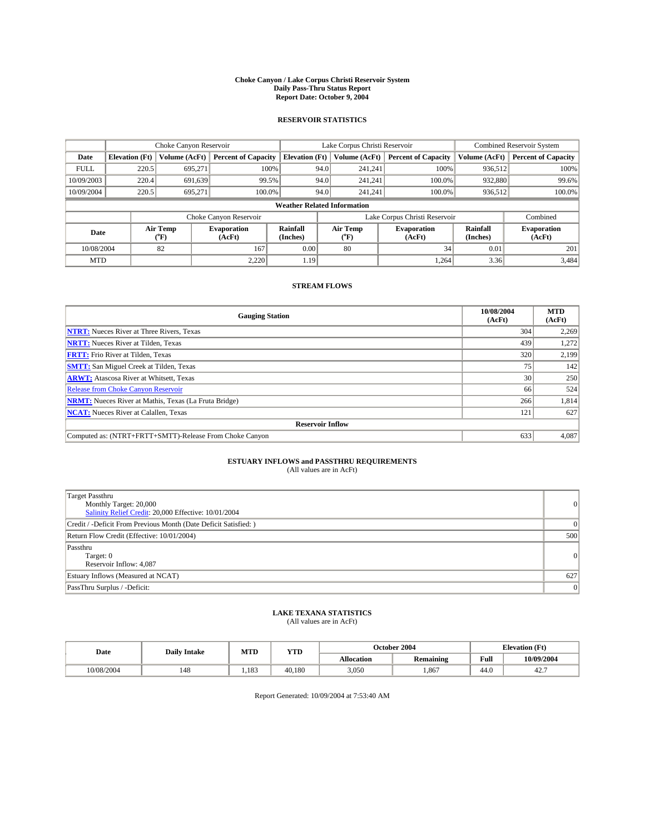#### **Choke Canyon / Lake Corpus Christi Reservoir System Daily Pass-Thru Status Report Report Date: October 9, 2004**

### **RESERVOIR STATISTICS**

|                                    | Choke Canyon Reservoir |                  |                              |                             | Lake Corpus Christi Reservoir |                  |                               |                      | <b>Combined Reservoir System</b> |  |  |
|------------------------------------|------------------------|------------------|------------------------------|-----------------------------|-------------------------------|------------------|-------------------------------|----------------------|----------------------------------|--|--|
| Date                               | <b>Elevation</b> (Ft)  | Volume (AcFt)    | <b>Percent of Capacity</b>   | <b>Elevation (Ft)</b>       |                               | Volume (AcFt)    | <b>Percent of Capacity</b>    | Volume (AcFt)        | <b>Percent of Capacity</b>       |  |  |
| <b>FULL</b>                        | 220.5                  | 695,271          | 100%                         |                             | 94.0                          | 241,241          | 100%                          | 936.512              | 100%                             |  |  |
| 10/09/2003                         | 220.4                  | 691.639          | 99.5%                        |                             | 94.0                          | 241.241          | $100.0\%$                     | 932,880              | 99.6%                            |  |  |
| 10/09/2004                         | 220.5                  | 695.271          | 100.0%                       |                             | 94.0                          | 241.241          | $100.0\%$                     | 936,512              | 100.0%                           |  |  |
| <b>Weather Related Information</b> |                        |                  |                              |                             |                               |                  |                               |                      |                                  |  |  |
|                                    |                        |                  | Choke Canyon Reservoir       |                             |                               |                  | Lake Corpus Christi Reservoir |                      | Combined                         |  |  |
| Date                               |                        | Air Temp<br>(°F) | <b>Evaporation</b><br>(AcFt) | <b>Rainfall</b><br>(Inches) |                               | Air Temp<br>("F) | <b>Evaporation</b><br>(AcFt)  | Rainfall<br>(Inches) | <b>Evaporation</b><br>(AcFt)     |  |  |
| 10/08/2004                         |                        | 82               | 167                          | 0.00                        |                               | 80               | 34                            | 0.01                 | 201                              |  |  |
| <b>MTD</b>                         |                        |                  | 2,220                        | 1.19                        |                               |                  | 1,264                         | 3.36                 | 3,484                            |  |  |

## **STREAM FLOWS**

| <b>Gauging Station</b>                                       | 10/08/2004<br>(AcFt) | <b>MTD</b><br>(AcFt) |
|--------------------------------------------------------------|----------------------|----------------------|
| <b>NTRT:</b> Nueces River at Three Rivers, Texas             | 304                  | 2,269                |
| <b>NRTT:</b> Nueces River at Tilden, Texas                   | 439                  | 1.272                |
| <b>FRTT:</b> Frio River at Tilden, Texas                     | 320                  | 2,199                |
| <b>SMTT:</b> San Miguel Creek at Tilden, Texas               | 75 <sub>1</sub>      | 142                  |
| <b>ARWT:</b> Atascosa River at Whitsett, Texas               | 30 <sup>1</sup>      | 250                  |
| <b>Release from Choke Canyon Reservoir</b>                   | 66                   | 524                  |
| <b>NRMT:</b> Nueces River at Mathis, Texas (La Fruta Bridge) | 266                  | 1,814                |
| <b>NCAT:</b> Nueces River at Calallen, Texas                 | 121                  | 627                  |
| <b>Reservoir Inflow</b>                                      |                      |                      |
| Computed as: (NTRT+FRTT+SMTT)-Release From Choke Canyon      | 633                  | 4,087                |

## **ESTUARY INFLOWS and PASSTHRU REQUIREMENTS**<br>(All values are in AcFt)

| <b>Target Passthru</b><br>Monthly Target: 20,000<br>Salinity Relief Credit: 20,000 Effective: 10/01/2004 | $\overline{0}$ |
|----------------------------------------------------------------------------------------------------------|----------------|
| Credit / -Deficit From Previous Month (Date Deficit Satisfied: )                                         | $\Omega$       |
| Return Flow Credit (Effective: 10/01/2004)                                                               | 500            |
| Passthru<br>Target: 0<br>Reservoir Inflow: 4,087                                                         | 0              |
| Estuary Inflows (Measured at NCAT)                                                                       | 627            |
| PassThru Surplus / -Deficit:                                                                             | 0              |

# **LAKE TEXANA STATISTICS** (All values are in AcFt)

| Date       | <b>Daily Intake</b> | MTD  | <b>YTD</b> |                   | October 2004     |                | <b>Elevation</b> (Ft) |  |
|------------|---------------------|------|------------|-------------------|------------------|----------------|-----------------------|--|
|            |                     |      |            | <b>Allocation</b> | <b>Remaining</b> | Full           | 10/09/2004            |  |
| 10/08/2004 | 148                 | .183 | 40.180     | 3.050             | .867             | $\sim$<br>44.U | 44.                   |  |

Report Generated: 10/09/2004 at 7:53:40 AM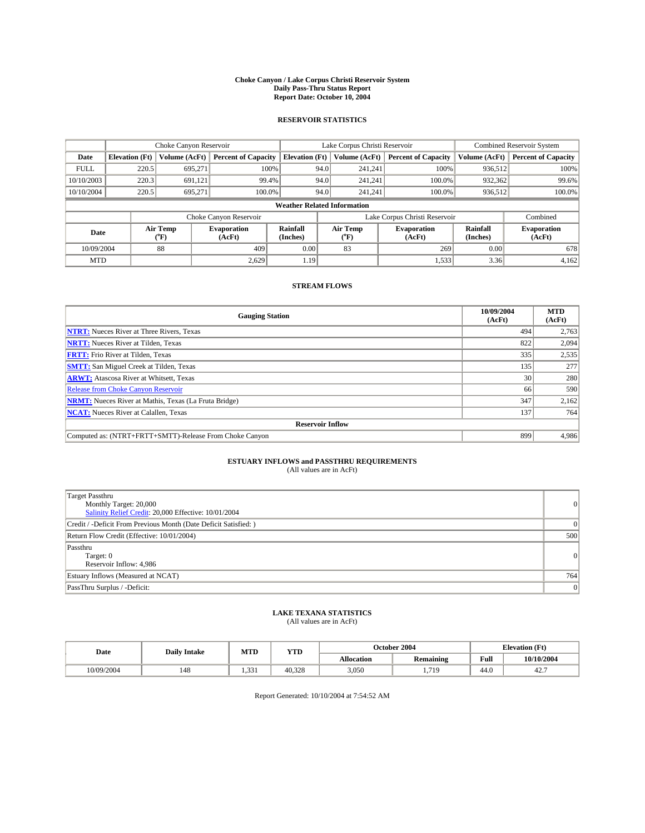#### **Choke Canyon / Lake Corpus Christi Reservoir System Daily Pass-Thru Status Report Report Date: October 10, 2004**

### **RESERVOIR STATISTICS**

| Choke Canyon Reservoir |                                    |                  |                              | Lake Corpus Christi Reservoir |                               |                  |                              | <b>Combined Reservoir System</b> |                              |
|------------------------|------------------------------------|------------------|------------------------------|-------------------------------|-------------------------------|------------------|------------------------------|----------------------------------|------------------------------|
| Date                   | <b>Elevation</b> (Ft)              | Volume (AcFt)    | <b>Percent of Capacity</b>   | <b>Elevation (Ft)</b>         |                               | Volume (AcFt)    | <b>Percent of Capacity</b>   | Volume (AcFt)                    | <b>Percent of Capacity</b>   |
| <b>FULL</b>            | 220.5                              | 695,271          | 100%                         |                               | 94.0                          | 241,241          | 100%                         | 936.512                          | 100%                         |
| 10/10/2003             | 220.3                              | 691.121          | 99.4%                        |                               | 94.0                          | 241.241          | $100.0\%$                    | 932,362                          | 99.6%                        |
| 10/10/2004             | 220.5                              | 695.271          | 100.0%                       |                               | 94.0                          | 241,241          | $100.0\%$                    | 936,512                          | 100.0%                       |
|                        | <b>Weather Related Information</b> |                  |                              |                               |                               |                  |                              |                                  |                              |
|                        |                                    |                  | Choke Canyon Reservoir       |                               | Lake Corpus Christi Reservoir |                  |                              |                                  | Combined                     |
| Date                   |                                    | Air Temp<br>(°F) | <b>Evaporation</b><br>(AcFt) | <b>Rainfall</b><br>(Inches)   |                               | Air Temp<br>("F) | <b>Evaporation</b><br>(AcFt) | Rainfall<br>(Inches)             | <b>Evaporation</b><br>(AcFt) |
| 10/09/2004             |                                    | 88               | 409                          | 0.00                          |                               | 83               | 269                          | 0.00                             | 678                          |
| <b>MTD</b>             |                                    |                  | 2,629                        | 1.19                          |                               |                  | 1,533                        | 3.36                             | 4,162                        |

## **STREAM FLOWS**

| <b>Gauging Station</b>                                       | 10/09/2004<br>(AcFt) | <b>MTD</b><br>(AcFt) |
|--------------------------------------------------------------|----------------------|----------------------|
| <b>NTRT:</b> Nueces River at Three Rivers, Texas             | 494                  | 2,763                |
| <b>NRTT:</b> Nueces River at Tilden, Texas                   | 822                  | 2,094                |
| <b>FRTT:</b> Frio River at Tilden, Texas                     | 335                  | 2,535                |
| <b>SMTT:</b> San Miguel Creek at Tilden, Texas               | 135                  | 277                  |
| <b>ARWT:</b> Atascosa River at Whitsett, Texas               | 30 <sup>1</sup>      | 280                  |
| <b>Release from Choke Canyon Reservoir</b>                   | 66                   | 590                  |
| <b>NRMT:</b> Nueces River at Mathis, Texas (La Fruta Bridge) | 347                  | 2,162                |
| <b>NCAT:</b> Nueces River at Calallen, Texas                 | 137                  | 764                  |
| <b>Reservoir Inflow</b>                                      |                      |                      |
| Computed as: (NTRT+FRTT+SMTT)-Release From Choke Canyon      | 899                  | 4.986                |

## **ESTUARY INFLOWS and PASSTHRU REQUIREMENTS**<br>(All values are in AcFt)

| Target Passthru<br>Monthly Target: 20,000<br>Salinity Relief Credit: 20,000 Effective: 10/01/2004 | $\overline{0}$ |
|---------------------------------------------------------------------------------------------------|----------------|
| Credit / -Deficit From Previous Month (Date Deficit Satisfied: )                                  | $\Omega$       |
| Return Flow Credit (Effective: 10/01/2004)                                                        | 500            |
| Passthru<br>Target: 0<br>Reservoir Inflow: 4,986                                                  | 0              |
| Estuary Inflows (Measured at NCAT)                                                                | 764            |
| PassThru Surplus / -Deficit:                                                                      | 0              |

# **LAKE TEXANA STATISTICS** (All values are in AcFt)

| Date       | <b>Daily Intake</b> | MTD   | YTD    |                                       | October 2004 |                | <b>Elevation</b> (Ft) |  |
|------------|---------------------|-------|--------|---------------------------------------|--------------|----------------|-----------------------|--|
|            |                     |       |        | <b>Allocation</b><br><b>Remaining</b> |              | Full           | 10/10/2004            |  |
| 10/09/2004 | 148                 | 1.331 | 40.328 | 3,050                                 | 719<br>.117  | $\sim$<br>44.U | 42.                   |  |

Report Generated: 10/10/2004 at 7:54:52 AM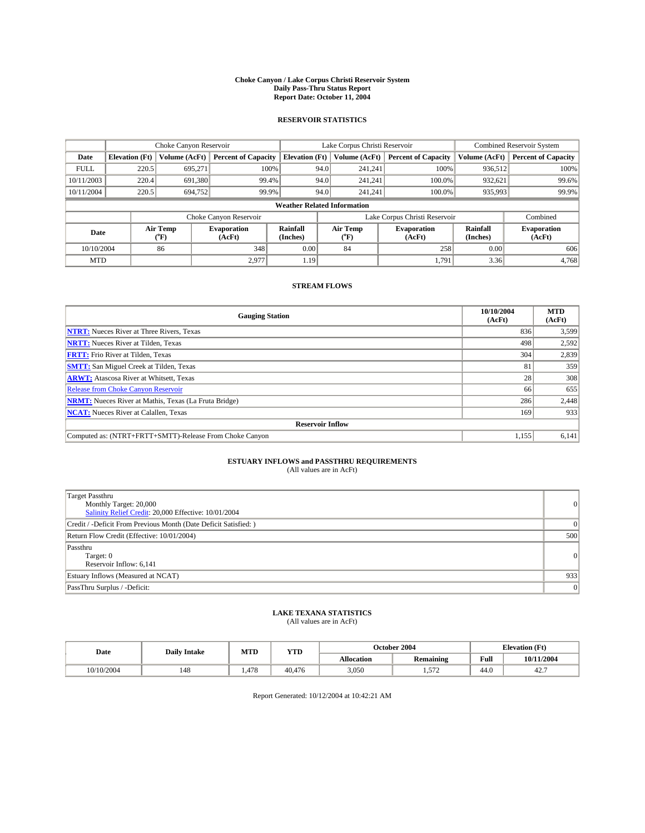#### **Choke Canyon / Lake Corpus Christi Reservoir System Daily Pass-Thru Status Report Report Date: October 11, 2004**

### **RESERVOIR STATISTICS**

| Choke Canyon Reservoir |                                    |                  |                              | Lake Corpus Christi Reservoir |                               |                  |                              | <b>Combined Reservoir System</b> |                              |
|------------------------|------------------------------------|------------------|------------------------------|-------------------------------|-------------------------------|------------------|------------------------------|----------------------------------|------------------------------|
| Date                   | <b>Elevation</b> (Ft)              | Volume (AcFt)    | <b>Percent of Capacity</b>   | <b>Elevation</b> (Ft)         |                               | Volume (AcFt)    | <b>Percent of Capacity</b>   | Volume (AcFt)                    | <b>Percent of Capacity</b>   |
| <b>FULL</b>            | 220.5                              | 695,271          | 100%                         |                               | 94.0                          | 241,241          | 100%                         | 936.512                          | 100%                         |
| 10/11/2003             | 220.4                              | 691,380          | 99.4%                        |                               | 94.0                          | 241.241          | $100.0\%$                    | 932,621                          | 99.6%                        |
| 10/11/2004             | 220.5                              | 694,752          | 99.9%                        |                               | 94.0                          | 241.241          | $100.0\%$                    | 935,993                          | 99.9%                        |
|                        | <b>Weather Related Information</b> |                  |                              |                               |                               |                  |                              |                                  |                              |
|                        |                                    |                  | Choke Canyon Reservoir       |                               | Lake Corpus Christi Reservoir |                  |                              |                                  | Combined                     |
| Date                   |                                    | Air Temp<br>(°F) | <b>Evaporation</b><br>(AcFt) | <b>Rainfall</b><br>(Inches)   |                               | Air Temp<br>("F) | <b>Evaporation</b><br>(AcFt) | Rainfall<br>(Inches)             | <b>Evaporation</b><br>(AcFt) |
| 10/10/2004             |                                    | 86               | 348                          | 0.00                          |                               | 84               | 258                          | 0.00                             | 606                          |
| <b>MTD</b>             |                                    |                  | 2,977                        | 1.19                          |                               |                  | 1,791                        | 3.36                             | 4,768                        |

## **STREAM FLOWS**

| <b>Gauging Station</b>                                       | 10/10/2004<br>(AcFt) | <b>MTD</b><br>(AcFt) |
|--------------------------------------------------------------|----------------------|----------------------|
| <b>NTRT:</b> Nueces River at Three Rivers, Texas             | 836                  | 3,599                |
| <b>NRTT:</b> Nueces River at Tilden, Texas                   | 498                  | 2,592                |
| <b>FRTT:</b> Frio River at Tilden, Texas                     | 304                  | 2,839                |
| <b>SMTT:</b> San Miguel Creek at Tilden, Texas               | 81                   | 359                  |
| <b>ARWT:</b> Atascosa River at Whitsett, Texas               | 28                   | 308                  |
| <b>Release from Choke Canyon Reservoir</b>                   | 66                   | 655                  |
| <b>NRMT:</b> Nueces River at Mathis, Texas (La Fruta Bridge) | 286                  | 2,448                |
| <b>NCAT:</b> Nueces River at Calallen, Texas                 | 169                  | 933                  |
| <b>Reservoir Inflow</b>                                      |                      |                      |
| Computed as: (NTRT+FRTT+SMTT)-Release From Choke Canyon      | 1,155                | 6,141                |

## **ESTUARY INFLOWS and PASSTHRU REQUIREMENTS**<br>(All values are in AcFt)

| Target Passthru<br>Monthly Target: 20,000<br>Salinity Relief Credit: 20,000 Effective: 10/01/2004 | $\overline{0}$ |
|---------------------------------------------------------------------------------------------------|----------------|
| Credit / -Deficit From Previous Month (Date Deficit Satisfied: )                                  |                |
| Return Flow Credit (Effective: 10/01/2004)                                                        | 500            |
| Passthru<br>Target: 0<br>Reservoir Inflow: 6,141                                                  | $\overline{0}$ |
| Estuary Inflows (Measured at NCAT)                                                                | 933            |
| PassThru Surplus / -Deficit:                                                                      | 0              |

# **LAKE TEXANA STATISTICS** (All values are in AcFt)

| Date       | <b>Daily Intake</b> | MTD   | <b>YTD</b> | October 2004      |                          |                    | <b>Elevation</b> (Ft) |  |
|------------|---------------------|-------|------------|-------------------|--------------------------|--------------------|-----------------------|--|
|            |                     |       |            | <b>Allocation</b> | <b>Remaining</b>         |                    | 10/11/2004            |  |
| 10/10/2004 | 148                 | . 478 | 40.476     | 3,050             | 57 <sup>o</sup><br>ے رہے | $\sqrt{ }$<br>44.0 | 42.                   |  |

Report Generated: 10/12/2004 at 10:42:21 AM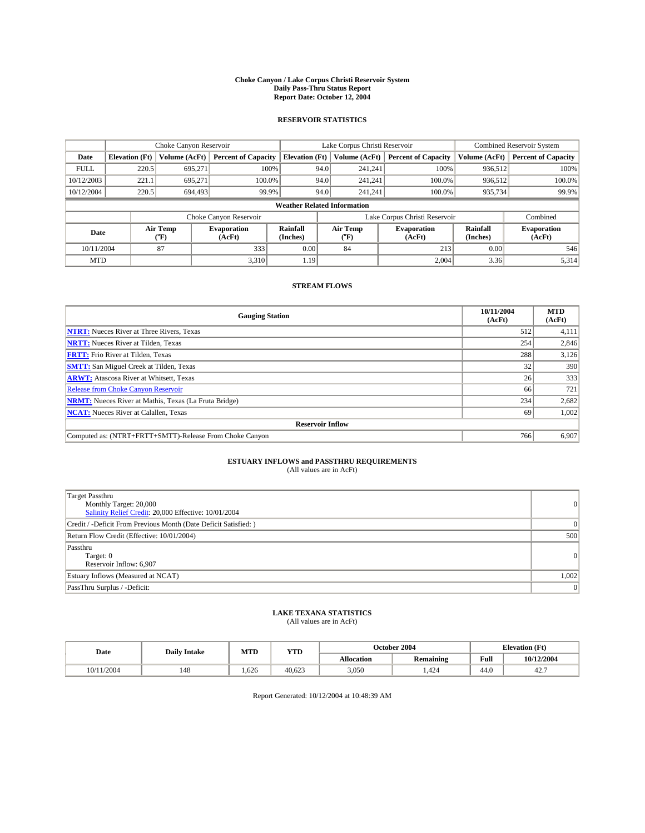#### **Choke Canyon / Lake Corpus Christi Reservoir System Daily Pass-Thru Status Report Report Date: October 12, 2004**

### **RESERVOIR STATISTICS**

| Choke Canyon Reservoir |                                    |                  |                              | Lake Corpus Christi Reservoir |                               |                  |                              | <b>Combined Reservoir System</b> |                              |
|------------------------|------------------------------------|------------------|------------------------------|-------------------------------|-------------------------------|------------------|------------------------------|----------------------------------|------------------------------|
| Date                   | <b>Elevation</b> (Ft)              | Volume (AcFt)    | <b>Percent of Capacity</b>   | <b>Elevation</b> (Ft)         |                               | Volume (AcFt)    | <b>Percent of Capacity</b>   | Volume (AcFt)                    | <b>Percent of Capacity</b>   |
| <b>FULL</b>            | 220.5                              | 695,271          | 100%                         |                               | 94.0                          | 241,241          | 100%                         | 936.512                          | 100%                         |
| 10/12/2003             | 221.1                              | 695.271          | $100.0\%$                    |                               | 94.0                          | 241.241          | 100.0%                       | 936.512                          | 100.0%                       |
| 10/12/2004             | 220.5                              | 694,493          | 99.9%                        |                               | 94.0                          | 241.241          | 100.0%                       | 935,734                          | 99.9%                        |
|                        | <b>Weather Related Information</b> |                  |                              |                               |                               |                  |                              |                                  |                              |
|                        |                                    |                  | Choke Canyon Reservoir       |                               | Lake Corpus Christi Reservoir |                  |                              |                                  | Combined                     |
| Date                   |                                    | Air Temp<br>(°F) | <b>Evaporation</b><br>(AcFt) | <b>Rainfall</b><br>(Inches)   |                               | Air Temp<br>("F) | <b>Evaporation</b><br>(AcFt) | Rainfall<br>(Inches)             | <b>Evaporation</b><br>(AcFt) |
| 10/11/2004             |                                    | 87               | 333                          | 0.00                          |                               | 84               | 213                          | 0.00                             | 546                          |
| <b>MTD</b>             |                                    |                  | 3,310                        | 1.19                          |                               |                  | 2,004                        | 3.36                             | 5,314                        |

## **STREAM FLOWS**

| <b>Gauging Station</b>                                       | 10/11/2004<br>(AcFt) | <b>MTD</b><br>(AcFt) |
|--------------------------------------------------------------|----------------------|----------------------|
| <b>NTRT:</b> Nueces River at Three Rivers, Texas             | 512                  | 4,111                |
| <b>NRTT:</b> Nueces River at Tilden, Texas                   | 254                  | 2,846                |
| <b>FRTT:</b> Frio River at Tilden, Texas                     | 288                  | 3,126                |
| <b>SMTT:</b> San Miguel Creek at Tilden, Texas               | 32 <sub>1</sub>      | 390                  |
| <b>ARWT:</b> Atascosa River at Whitsett, Texas               | 26                   | 333                  |
| Release from Choke Canyon Reservoir                          | 66                   | 721                  |
| <b>NRMT:</b> Nueces River at Mathis, Texas (La Fruta Bridge) | 234                  | 2,682                |
| <b>NCAT:</b> Nueces River at Calallen, Texas                 | -69                  | 1,002                |
| <b>Reservoir Inflow</b>                                      |                      |                      |
| Computed as: (NTRT+FRTT+SMTT)-Release From Choke Canyon      | 766                  | 6,907                |

# **ESTUARY INFLOWS and PASSTHRU REQUIREMENTS**<br>(All values are in AcFt)

| <b>Target Passthru</b><br>Monthly Target: 20,000<br>Salinity Relief Credit: 20,000 Effective: 10/01/2004 | 0              |
|----------------------------------------------------------------------------------------------------------|----------------|
| Credit / -Deficit From Previous Month (Date Deficit Satisfied: )                                         | $\overline{0}$ |
| Return Flow Credit (Effective: 10/01/2004)                                                               | 500            |
| Passthru<br>Target: 0<br>Reservoir Inflow: 6,907                                                         | 0              |
| Estuary Inflows (Measured at NCAT)                                                                       | 1,002          |
| PassThru Surplus / -Deficit:                                                                             | 0              |

# **LAKE TEXANA STATISTICS** (All values are in AcFt)

| (All values are in AcFt) |  |  |
|--------------------------|--|--|
|                          |  |  |

| Date          | <b>Daily Intake</b> | MTD  | <b>YTD</b> |                   | October 2004                  |                       | <b>Elevation</b> (Ft) |  |
|---------------|---------------------|------|------------|-------------------|-------------------------------|-----------------------|-----------------------|--|
|               |                     |      |            | <b>Allocation</b> | $\cdot$ .<br><b>Remaining</b> | Full                  | 10/12/2004            |  |
| 1/2004<br>0/1 | 148                 | .626 | 40.623     | 3,050             | .424                          | $\sim$ $\sim$<br>44.U | 42.                   |  |

Report Generated: 10/12/2004 at 10:48:39 AM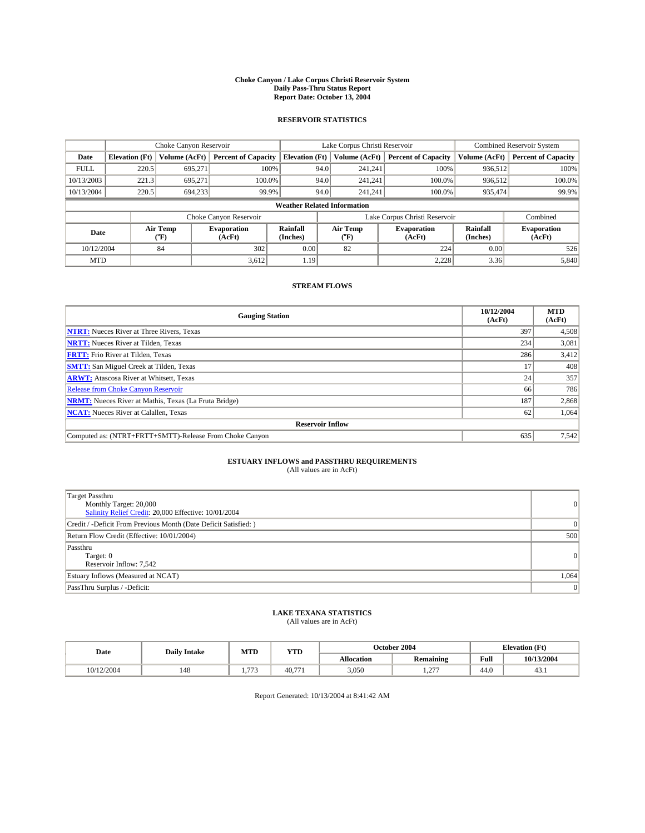#### **Choke Canyon / Lake Corpus Christi Reservoir System Daily Pass-Thru Status Report Report Date: October 13, 2004**

### **RESERVOIR STATISTICS**

|             | Choke Canyon Reservoir             |                  |                              |                             |                               | Lake Corpus Christi Reservoir | <b>Combined Reservoir System</b> |                      |                              |  |
|-------------|------------------------------------|------------------|------------------------------|-----------------------------|-------------------------------|-------------------------------|----------------------------------|----------------------|------------------------------|--|
| Date        | <b>Elevation</b> (Ft)              | Volume (AcFt)    | <b>Percent of Capacity</b>   | <b>Elevation (Ft)</b>       |                               | Volume (AcFt)                 | <b>Percent of Capacity</b>       | Volume (AcFt)        | <b>Percent of Capacity</b>   |  |
| <b>FULL</b> | 220.5                              | 695,271          |                              | 100%                        | 94.0                          | 241,241                       | 100%                             | 936.512              | 100%                         |  |
| 10/13/2003  | 221.3                              | 695.271          | $100.0\%$                    |                             | 94.0                          | 241.241                       | $100.0\%$                        | 936.512              | 100.0%                       |  |
| 10/13/2004  | 220.5                              | 694.233          | 99.9%                        |                             | 94.0                          | 241,241                       | $100.0\%$                        | 935,474              | 99.9%                        |  |
|             | <b>Weather Related Information</b> |                  |                              |                             |                               |                               |                                  |                      |                              |  |
|             |                                    |                  | Choke Canyon Reservoir       |                             | Lake Corpus Christi Reservoir |                               |                                  |                      | Combined                     |  |
| Date        |                                    | Air Temp<br>(°F) | <b>Evaporation</b><br>(AcFt) | <b>Rainfall</b><br>(Inches) |                               | Air Temp<br>("F)              | <b>Evaporation</b><br>(AcFt)     | Rainfall<br>(Inches) | <b>Evaporation</b><br>(AcFt) |  |
| 10/12/2004  |                                    | 84               | 302                          | 0.00                        |                               | 82                            | 224                              | 0.00                 | 526                          |  |
| <b>MTD</b>  |                                    |                  | 3,612                        | 1.19                        |                               |                               | 2,228                            | 3.36                 | 5,840                        |  |

## **STREAM FLOWS**

| <b>Gauging Station</b>                                       | 10/12/2004<br>(AcFt) | <b>MTD</b><br>(AcFt) |
|--------------------------------------------------------------|----------------------|----------------------|
| <b>NTRT:</b> Nueces River at Three Rivers, Texas             | 397                  | 4,508                |
| <b>NRTT:</b> Nueces River at Tilden, Texas                   | 234                  | 3,081                |
| <b>FRTT:</b> Frio River at Tilden, Texas                     | 286                  | 3,412                |
| <b>SMTT:</b> San Miguel Creek at Tilden, Texas               |                      | 408                  |
| <b>ARWT:</b> Atascosa River at Whitsett, Texas               | 24                   | 357                  |
| <b>Release from Choke Canyon Reservoir</b>                   | 66                   | 786                  |
| <b>NRMT:</b> Nueces River at Mathis, Texas (La Fruta Bridge) | 187                  | 2,868                |
| <b>NCAT:</b> Nueces River at Calallen, Texas                 | 62                   | 1,064                |
| <b>Reservoir Inflow</b>                                      |                      |                      |
| Computed as: (NTRT+FRTT+SMTT)-Release From Choke Canyon      | 635                  | 7,542                |

# **ESTUARY INFLOWS and PASSTHRU REQUIREMENTS**<br>(All values are in AcFt)

| <b>Target Passthru</b><br>Monthly Target: 20,000<br>Salinity Relief Credit: 20,000 Effective: 10/01/2004 | 0              |
|----------------------------------------------------------------------------------------------------------|----------------|
| Credit / -Deficit From Previous Month (Date Deficit Satisfied: )                                         | $\overline{0}$ |
| Return Flow Credit (Effective: 10/01/2004)                                                               | 500            |
| Passthru<br>Target: 0<br>Reservoir Inflow: 7,542                                                         | 0              |
| Estuary Inflows (Measured at NCAT)                                                                       | 1,064          |
| PassThru Surplus / -Deficit:                                                                             | 0              |

# **LAKE TEXANA STATISTICS** (All values are in AcFt)

| $(2.11 \times 0.000)$ are $(1.210)$ |  |
|-------------------------------------|--|
|                                     |  |
|                                     |  |

| Date       | <b>Daily Intake</b> | MTD   | <b>YTD</b> |                   | October 2004         | <b>Elevation</b> (Ft) |            |
|------------|---------------------|-------|------------|-------------------|----------------------|-----------------------|------------|
|            |                     |       |            | <b>Allocation</b> | <b>Remaining</b>     | Full                  | 10/13/2004 |
| 10/12/2004 | 148                 | $- -$ | 40.77      | 3,050             | $\sim$<br>$\sqrt{1}$ | $\sim$<br>44.V        | 43.1       |

Report Generated: 10/13/2004 at 8:41:42 AM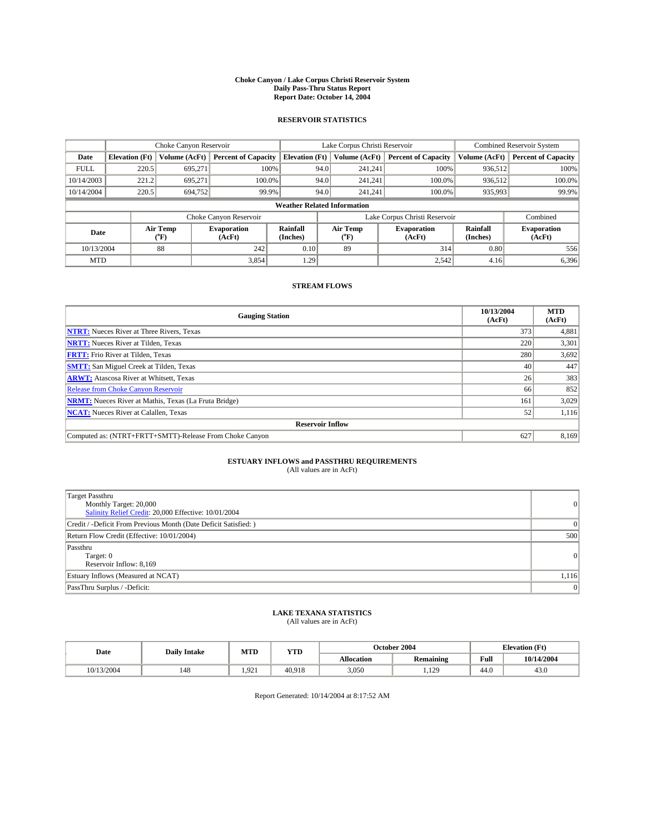#### **Choke Canyon / Lake Corpus Christi Reservoir System Daily Pass-Thru Status Report Report Date: October 14, 2004**

### **RESERVOIR STATISTICS**

|             | Choke Canyon Reservoir             |                  |                              |                             |                               | Lake Corpus Christi Reservoir | <b>Combined Reservoir System</b> |                      |                              |  |
|-------------|------------------------------------|------------------|------------------------------|-----------------------------|-------------------------------|-------------------------------|----------------------------------|----------------------|------------------------------|--|
| Date        | <b>Elevation</b> (Ft)              | Volume (AcFt)    | <b>Percent of Capacity</b>   | <b>Elevation (Ft)</b>       |                               | Volume (AcFt)                 | <b>Percent of Capacity</b>       | Volume (AcFt)        | <b>Percent of Capacity</b>   |  |
| <b>FULL</b> | 220.5                              | 695,271          | 100%                         |                             | 94.0                          | 241,241                       | 100%                             | 936.512              | 100%                         |  |
| 10/14/2003  | 221.2                              | 695.271          | $100.0\%$                    |                             | 94.0                          | 241.241                       | $100.0\%$                        | 936.512              | 100.0%                       |  |
| 10/14/2004  | 220.5                              | 694,752          | 99.9%                        |                             | 94.0                          | 241,241                       | $100.0\%$                        | 935,993              | 99.9%                        |  |
|             | <b>Weather Related Information</b> |                  |                              |                             |                               |                               |                                  |                      |                              |  |
|             |                                    |                  | Choke Canyon Reservoir       |                             | Lake Corpus Christi Reservoir |                               |                                  | Combined             |                              |  |
| Date        |                                    | Air Temp<br>(°F) | <b>Evaporation</b><br>(AcFt) | <b>Rainfall</b><br>(Inches) |                               | Air Temp<br>("F)              | <b>Evaporation</b><br>(AcFt)     | Rainfall<br>(Inches) | <b>Evaporation</b><br>(AcFt) |  |
| 10/13/2004  |                                    | 88               | 242                          | 0.10                        |                               | 89                            | 314                              | 0.80                 | 556                          |  |
| <b>MTD</b>  |                                    |                  | 3,854                        | 1.29                        |                               |                               | 2,542                            | 4.16                 | 6,396                        |  |

## **STREAM FLOWS**

| <b>Gauging Station</b>                                       | 10/13/2004<br>(AcFt) | <b>MTD</b><br>(AcFt) |
|--------------------------------------------------------------|----------------------|----------------------|
| <b>NTRT:</b> Nueces River at Three Rivers, Texas             | 373                  | 4,881                |
| <b>NRTT:</b> Nueces River at Tilden, Texas                   | 220                  | 3,301                |
| <b>FRTT:</b> Frio River at Tilden, Texas                     | 280                  | 3,692                |
| <b>SMTT:</b> San Miguel Creek at Tilden, Texas               | 40                   | 447                  |
| <b>ARWT:</b> Atascosa River at Whitsett, Texas               | 26                   | 383                  |
| <b>Release from Choke Canyon Reservoir</b>                   | 66                   | 852                  |
| <b>NRMT:</b> Nueces River at Mathis, Texas (La Fruta Bridge) | 161                  | 3,029                |
| <b>NCAT:</b> Nueces River at Calallen, Texas                 | 52                   | 1,116                |
| <b>Reservoir Inflow</b>                                      |                      |                      |
| Computed as: (NTRT+FRTT+SMTT)-Release From Choke Canyon      | 627                  | 8,169                |

# **ESTUARY INFLOWS and PASSTHRU REQUIREMENTS**<br>(All values are in AcFt)

| Target Passthru<br>Monthly Target: 20,000<br>Salinity Relief Credit: 20,000 Effective: 10/01/2004 | $\overline{0}$ |
|---------------------------------------------------------------------------------------------------|----------------|
| Credit / -Deficit From Previous Month (Date Deficit Satisfied: )                                  | $\Omega$       |
| Return Flow Credit (Effective: 10/01/2004)                                                        | 500            |
| Passthru<br>Target: 0<br>Reservoir Inflow: 8,169                                                  | $\overline{0}$ |
| Estuary Inflows (Measured at NCAT)                                                                | 1,116          |
| PassThru Surplus / -Deficit:                                                                      | $\overline{0}$ |

# **LAKE TEXANA STATISTICS** (All values are in AcFt)

| Date       | <b>Daily Intake</b> | MTD   | <b>YTD</b> |                   | October 2004     | <b>Elevation</b> (Ft) |            |
|------------|---------------------|-------|------------|-------------------|------------------|-----------------------|------------|
|            |                     |       |            | <b>Allocation</b> | <b>Remaining</b> | Full                  | 10/14/2004 |
| 10/13/2004 | 148                 | 1.921 | 40.918     | 3,050             | .,129            | $\sim$<br>44.U        | 43.0       |

Report Generated: 10/14/2004 at 8:17:52 AM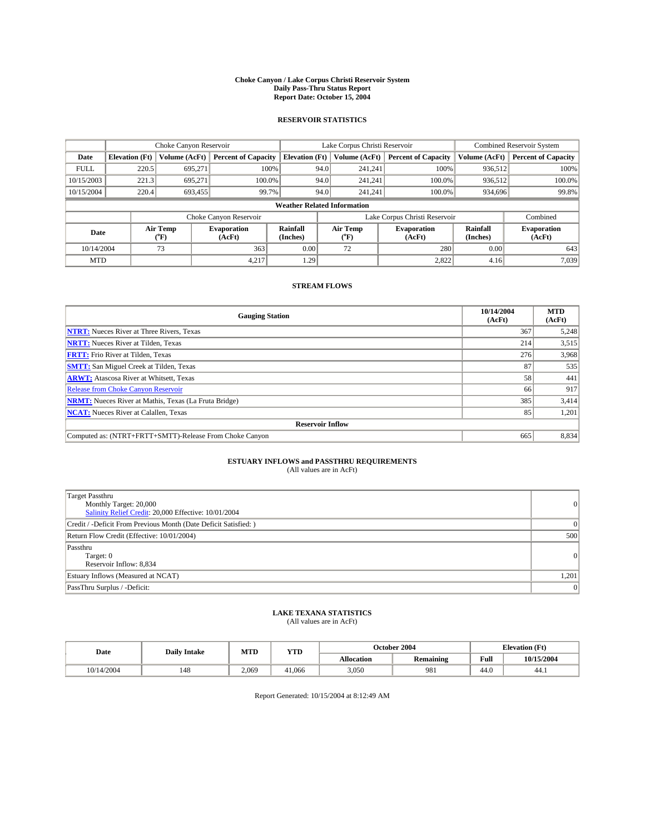#### **Choke Canyon / Lake Corpus Christi Reservoir System Daily Pass-Thru Status Report Report Date: October 15, 2004**

### **RESERVOIR STATISTICS**

|             | Choke Canyon Reservoir             |                  |                              | Lake Corpus Christi Reservoir | <b>Combined Reservoir System</b> |                  |                              |                      |                              |  |
|-------------|------------------------------------|------------------|------------------------------|-------------------------------|----------------------------------|------------------|------------------------------|----------------------|------------------------------|--|
| Date        | <b>Elevation</b> (Ft)              | Volume (AcFt)    | <b>Percent of Capacity</b>   | <b>Elevation (Ft)</b>         |                                  | Volume (AcFt)    | <b>Percent of Capacity</b>   | Volume (AcFt)        | <b>Percent of Capacity</b>   |  |
| <b>FULL</b> | 220.5                              | 695,271          |                              | 100%                          | 94.0                             | 241,241          | 100%                         | 936.512              | 100%                         |  |
| 10/15/2003  | 221.3                              | 695.271          | $100.0\%$                    |                               | 94.0                             | 241.241          | $100.0\%$                    | 936.512              | 100.0%                       |  |
| 10/15/2004  | 220.4                              | 693,455          | 99.7%                        |                               | 94.0                             | 241,241          | $100.0\%$                    | 934,696              | 99.8%                        |  |
|             | <b>Weather Related Information</b> |                  |                              |                               |                                  |                  |                              |                      |                              |  |
|             |                                    |                  | Choke Canyon Reservoir       |                               | Lake Corpus Christi Reservoir    |                  |                              |                      | Combined                     |  |
| Date        |                                    | Air Temp<br>(°F) | <b>Evaporation</b><br>(AcFt) | <b>Rainfall</b><br>(Inches)   |                                  | Air Temp<br>("F) | <b>Evaporation</b><br>(AcFt) | Rainfall<br>(Inches) | <b>Evaporation</b><br>(AcFt) |  |
| 10/14/2004  |                                    | 73               | 363                          | 0.00                          |                                  | 72               | 280                          | 0.00                 | 643                          |  |
| <b>MTD</b>  |                                    |                  | 4,217                        | 1.29                          |                                  |                  | 2,822                        | 4.16                 | 7,039                        |  |

## **STREAM FLOWS**

| <b>Gauging Station</b>                                       | 10/14/2004<br>(AcFt) | <b>MTD</b><br>(AcFt) |
|--------------------------------------------------------------|----------------------|----------------------|
| <b>NTRT:</b> Nueces River at Three Rivers, Texas             | 367                  | 5,248                |
| <b>NRTT:</b> Nueces River at Tilden, Texas                   | 214                  | 3,515                |
| <b>FRTT:</b> Frio River at Tilden, Texas                     | 276                  | 3,968                |
| <b>SMTT:</b> San Miguel Creek at Tilden, Texas               | 87                   | 535                  |
| <b>ARWT:</b> Atascosa River at Whitsett, Texas               | 58                   | 441                  |
| <b>Release from Choke Canyon Reservoir</b>                   | 66                   | 917                  |
| <b>NRMT:</b> Nueces River at Mathis, Texas (La Fruta Bridge) | 385                  | 3,414                |
| <b>NCAT:</b> Nueces River at Calallen, Texas                 | 85                   | 1,201                |
| <b>Reservoir Inflow</b>                                      |                      |                      |
| Computed as: (NTRT+FRTT+SMTT)-Release From Choke Canyon      | 665                  | 8,834                |

# **ESTUARY INFLOWS and PASSTHRU REQUIREMENTS**<br>(All values are in AcFt)

| Target Passthru<br>Monthly Target: 20,000<br>Salinity Relief Credit: 20,000 Effective: 10/01/2004 | $\overline{0}$ |
|---------------------------------------------------------------------------------------------------|----------------|
| Credit / -Deficit From Previous Month (Date Deficit Satisfied: )                                  | $\Omega$       |
| Return Flow Credit (Effective: 10/01/2004)                                                        | 500            |
| Passthru<br>Target: 0<br>Reservoir Inflow: 8,834                                                  | $\overline{0}$ |
| Estuary Inflows (Measured at NCAT)                                                                | 1,201          |
| PassThru Surplus / -Deficit:                                                                      | $\mathbf{0}$   |

# **LAKE TEXANA STATISTICS** (All values are in AcFt)

| Date       | <b>Daily Intake</b> |       | MTD<br><b>YTD</b> |                   | October 2004 | <b>Elevation</b> (Ft) |            |
|------------|---------------------|-------|-------------------|-------------------|--------------|-----------------------|------------|
|            |                     |       |                   | <b>Allocation</b> | Remaining    | Full                  | 10/15/2004 |
| 10/14/2004 | 148                 | 2,069 | 41.066            | 3,050             | 981          | 44.0                  | 44.1       |

Report Generated: 10/15/2004 at 8:12:49 AM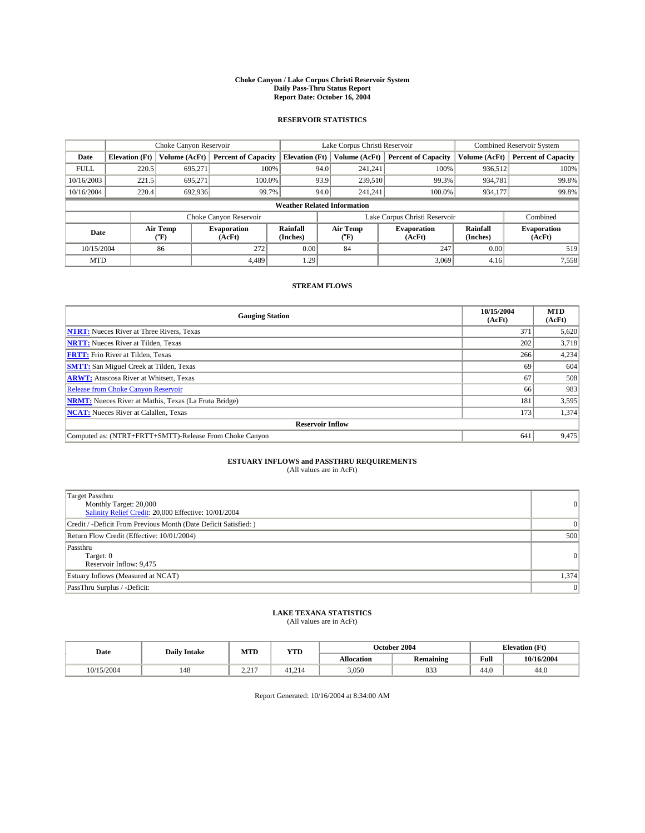#### **Choke Canyon / Lake Corpus Christi Reservoir System Daily Pass-Thru Status Report Report Date: October 16, 2004**

### **RESERVOIR STATISTICS**

|             | Choke Canyon Reservoir |                  | Lake Corpus Christi Reservoir |                                    |                               |                  | <b>Combined Reservoir System</b> |                      |                              |
|-------------|------------------------|------------------|-------------------------------|------------------------------------|-------------------------------|------------------|----------------------------------|----------------------|------------------------------|
| Date        | <b>Elevation</b> (Ft)  | Volume (AcFt)    | <b>Percent of Capacity</b>    | <b>Elevation (Ft)</b>              |                               | Volume (AcFt)    | <b>Percent of Capacity</b>       | Volume (AcFt)        | <b>Percent of Capacity</b>   |
| <b>FULL</b> | 220.5                  | 695,271          |                               | 100%                               | 94.0                          | 241,241          | 100%                             | 936.512              | 100%                         |
| 10/16/2003  | 221.5                  | 695.271          | $100.0\%$                     |                                    | 93.9                          | 239,510          | 99.3%                            | 934,781              | 99.8%                        |
| 10/16/2004  | 220.4                  | 692,936          | 99.7%                         |                                    | 94.0                          | 241.241          | $100.0\%$                        | 934,177              | 99.8%                        |
|             |                        |                  |                               | <b>Weather Related Information</b> |                               |                  |                                  |                      |                              |
|             |                        |                  | Choke Canyon Reservoir        |                                    | Lake Corpus Christi Reservoir |                  |                                  |                      | Combined                     |
| Date        |                        | Air Temp<br>(°F) | <b>Evaporation</b><br>(AcFt)  | <b>Rainfall</b><br>(Inches)        |                               | Air Temp<br>("F) | <b>Evaporation</b><br>(AcFt)     | Rainfall<br>(Inches) | <b>Evaporation</b><br>(AcFt) |
| 10/15/2004  |                        | 86               | 272                           | 0.00                               |                               | 84               | 247                              | 0.00                 | 519                          |
| <b>MTD</b>  |                        |                  | 4.489                         | 1.29                               |                               |                  | 3,069                            | 4.16                 | 7,558                        |

## **STREAM FLOWS**

| <b>Gauging Station</b>                                       | 10/15/2004<br>(AcFt) | <b>MTD</b><br>(AcFt) |
|--------------------------------------------------------------|----------------------|----------------------|
| <b>NTRT:</b> Nueces River at Three Rivers, Texas             | 371                  | 5,620                |
| <b>NRTT:</b> Nueces River at Tilden, Texas                   | 202                  | 3,718                |
| <b>FRTT:</b> Frio River at Tilden, Texas                     | 266                  | 4,234                |
| <b>SMTT:</b> San Miguel Creek at Tilden, Texas               | -69                  | 604                  |
| <b>ARWT:</b> Atascosa River at Whitsett, Texas               | 67                   | 508                  |
| Release from Choke Canyon Reservoir                          | 66                   | 983                  |
| <b>NRMT:</b> Nueces River at Mathis, Texas (La Fruta Bridge) | 181                  | 3,595                |
| <b>NCAT:</b> Nueces River at Calallen, Texas                 | 173                  | 1,374                |
| <b>Reservoir Inflow</b>                                      |                      |                      |
| Computed as: (NTRT+FRTT+SMTT)-Release From Choke Canyon      | 641                  | 9,475                |

# **ESTUARY INFLOWS and PASSTHRU REQUIREMENTS**<br>(All values are in AcFt)

| Target Passthru<br>Monthly Target: 20,000<br>Salinity Relief Credit: 20,000 Effective: 10/01/2004 | $\overline{0}$ |
|---------------------------------------------------------------------------------------------------|----------------|
| Credit / -Deficit From Previous Month (Date Deficit Satisfied: )                                  | $\Omega$       |
| Return Flow Credit (Effective: 10/01/2004)                                                        | 500            |
| Passthru<br>Target: 0<br>Reservoir Inflow: 9,475                                                  | $\overline{0}$ |
| Estuary Inflows (Measured at NCAT)                                                                | 1,374          |
| PassThru Surplus / -Deficit:                                                                      | $\overline{0}$ |

# **LAKE TEXANA STATISTICS** (All values are in AcFt)

| Date       | <b>Daily Intake</b> | MTD               | <b>YTD</b> |                   | October 2004     | <b>Elevation</b> (Ft) |            |
|------------|---------------------|-------------------|------------|-------------------|------------------|-----------------------|------------|
|            |                     |                   |            | <b>Allocation</b> | <b>Remaining</b> | Full                  | 10/16/2004 |
| 10/15/2004 | 148                 | 217<br><u>_ _</u> | 41.214     | 3,050             | 833              | 44.0                  | 44.0       |

Report Generated: 10/16/2004 at 8:34:00 AM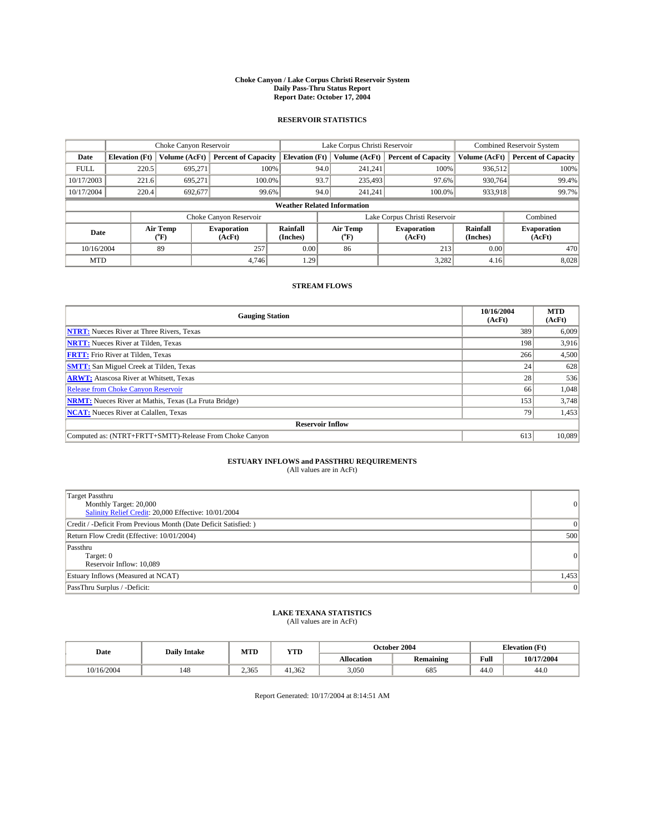#### **Choke Canyon / Lake Corpus Christi Reservoir System Daily Pass-Thru Status Report Report Date: October 17, 2004**

### **RESERVOIR STATISTICS**

|             | Choke Canyon Reservoir |                  | Lake Corpus Christi Reservoir |                                    |                               |                  | <b>Combined Reservoir System</b> |                      |                              |
|-------------|------------------------|------------------|-------------------------------|------------------------------------|-------------------------------|------------------|----------------------------------|----------------------|------------------------------|
| Date        | <b>Elevation</b> (Ft)  | Volume (AcFt)    | <b>Percent of Capacity</b>    | <b>Elevation (Ft)</b>              |                               | Volume (AcFt)    | <b>Percent of Capacity</b>       | Volume (AcFt)        | <b>Percent of Capacity</b>   |
| <b>FULL</b> | 220.5                  | 695,271          | 100%                          |                                    | 94.0                          | 241,241          | 100%                             | 936.512              | 100%                         |
| 10/17/2003  | 221.6                  | 695.271          | $100.0\%$                     |                                    | 93.7                          | 235,493          | 97.6%                            | 930.764              | 99.4%                        |
| 10/17/2004  | 220.4                  | 692.677          | 99.6%                         |                                    | 94.0                          | 241,241          | $100.0\%$                        | 933,918              | 99.7%                        |
|             |                        |                  |                               | <b>Weather Related Information</b> |                               |                  |                                  |                      |                              |
|             |                        |                  | Choke Canyon Reservoir        |                                    | Lake Corpus Christi Reservoir |                  |                                  |                      | Combined                     |
| Date        |                        | Air Temp<br>(°F) | <b>Evaporation</b><br>(AcFt)  | <b>Rainfall</b><br>(Inches)        |                               | Air Temp<br>("F) | <b>Evaporation</b><br>(AcFt)     | Rainfall<br>(Inches) | <b>Evaporation</b><br>(AcFt) |
| 10/16/2004  |                        | 89               | 257                           | 0.00                               |                               | 86               | 213                              | 0.00                 | 470                          |
| <b>MTD</b>  |                        |                  | 4,746                         | 1.29                               |                               |                  | 3,282                            | 4.16                 | 8,028                        |

## **STREAM FLOWS**

| <b>Gauging Station</b>                                       | 10/16/2004<br>(AcFt) | <b>MTD</b><br>(AcFt) |
|--------------------------------------------------------------|----------------------|----------------------|
| <b>NTRT:</b> Nueces River at Three Rivers, Texas             | 389                  | 6,009                |
| <b>NRTT:</b> Nueces River at Tilden, Texas                   | 198                  | 3,916                |
| <b>FRTT:</b> Frio River at Tilden, Texas                     | 266                  | 4,500                |
| <b>SMTT:</b> San Miguel Creek at Tilden, Texas               | 24                   | 628                  |
| <b>ARWT:</b> Atascosa River at Whitsett, Texas               | 28 <sub>1</sub>      | 536                  |
| <b>Release from Choke Canyon Reservoir</b>                   | 66                   | 1,048                |
| <b>NRMT:</b> Nueces River at Mathis, Texas (La Fruta Bridge) | 153                  | 3,748                |
| <b>NCAT:</b> Nueces River at Calallen, Texas                 | 79                   | 1,453                |
| <b>Reservoir Inflow</b>                                      |                      |                      |
| Computed as: (NTRT+FRTT+SMTT)-Release From Choke Canyon      | 613                  | 10.089               |

## **ESTUARY INFLOWS and PASSTHRU REQUIREMENTS**<br>(All values are in AcFt)

| Target Passthru<br>Monthly Target: 20,000<br>Salinity Relief Credit: 20,000 Effective: 10/01/2004 | $\overline{0}$ |
|---------------------------------------------------------------------------------------------------|----------------|
| Credit / -Deficit From Previous Month (Date Deficit Satisfied: )                                  | $\Omega$       |
| Return Flow Credit (Effective: 10/01/2004)                                                        | 500            |
| Passthru<br>Target: 0<br>Reservoir Inflow: 10,089                                                 | $\overline{0}$ |
| Estuary Inflows (Measured at NCAT)                                                                | 1,453          |
| PassThru Surplus / -Deficit:                                                                      | $\overline{0}$ |

# **LAKE TEXANA STATISTICS** (All values are in AcFt)

| Date       | <b>Daily Intake</b> | MTD   | <b>YTD</b> |                   | October 2004 | <b>Elevation</b> (Ft) |            |
|------------|---------------------|-------|------------|-------------------|--------------|-----------------------|------------|
|            |                     |       |            | <b>Allocation</b> | Remaining    | Full                  | 10/17/2004 |
| 10/16/2004 | 148                 | 2.365 | 41.362     | 3,050             | 685          | 44.0                  | 44.0       |

Report Generated: 10/17/2004 at 8:14:51 AM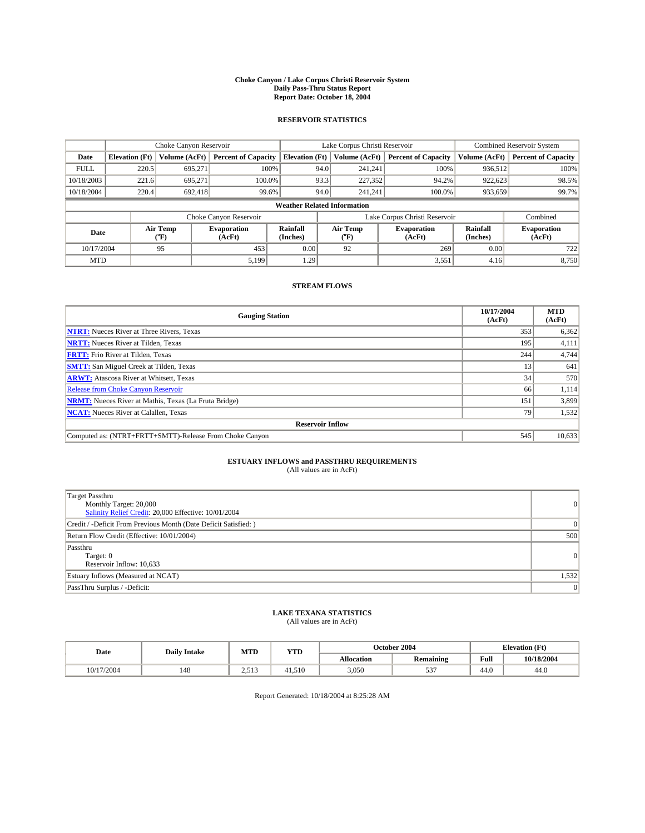#### **Choke Canyon / Lake Corpus Christi Reservoir System Daily Pass-Thru Status Report Report Date: October 18, 2004**

### **RESERVOIR STATISTICS**

|             | Choke Canyon Reservoir |                  | Lake Corpus Christi Reservoir |                                    |                               |                  | <b>Combined Reservoir System</b> |                      |                              |
|-------------|------------------------|------------------|-------------------------------|------------------------------------|-------------------------------|------------------|----------------------------------|----------------------|------------------------------|
| Date        | <b>Elevation</b> (Ft)  | Volume (AcFt)    | <b>Percent of Capacity</b>    | <b>Elevation (Ft)</b>              |                               | Volume (AcFt)    | <b>Percent of Capacity</b>       | Volume (AcFt)        | <b>Percent of Capacity</b>   |
| <b>FULL</b> | 220.5                  | 695,271          | 100%                          |                                    | 94.0                          | 241,241          | 100%                             | 936.512              | 100%                         |
| 10/18/2003  | 221.6                  | 695,271          | $100.0\%$                     |                                    | 93.3                          | 227,352          | 94.2%                            | 922,623              | 98.5%                        |
| 10/18/2004  | 220.4                  | 692.418          | 99.6%                         |                                    | 94.0                          | 241.241          | $100.0\%$                        | 933,659              | 99.7%                        |
|             |                        |                  |                               | <b>Weather Related Information</b> |                               |                  |                                  |                      |                              |
|             |                        |                  | Choke Canyon Reservoir        |                                    | Lake Corpus Christi Reservoir |                  |                                  |                      | Combined                     |
| Date        |                        | Air Temp<br>(°F) | <b>Evaporation</b><br>(AcFt)  | <b>Rainfall</b><br>(Inches)        |                               | Air Temp<br>("F) | <b>Evaporation</b><br>(AcFt)     | Rainfall<br>(Inches) | <b>Evaporation</b><br>(AcFt) |
| 10/17/2004  |                        | 95               | 453                           | 0.00                               |                               | 92               | 269                              | 0.00                 | 722                          |
| <b>MTD</b>  |                        |                  | 5,199                         | 1.29                               |                               |                  | 3,551                            | 4.16                 | 8,750                        |

## **STREAM FLOWS**

| <b>Gauging Station</b>                                       | 10/17/2004<br>(AcFt) | <b>MTD</b><br>(AcFt) |
|--------------------------------------------------------------|----------------------|----------------------|
| <b>NTRT:</b> Nueces River at Three Rivers, Texas             | 353                  | 6,362                |
| <b>NRTT:</b> Nueces River at Tilden, Texas                   | 195                  | 4,111                |
| <b>FRTT:</b> Frio River at Tilden, Texas                     | 244                  | 4,744                |
| <b>SMTT:</b> San Miguel Creek at Tilden, Texas               | 13                   | 641                  |
| <b>ARWT:</b> Atascosa River at Whitsett, Texas               | 34                   | 570                  |
| <b>Release from Choke Canyon Reservoir</b>                   | 66                   | 1,114                |
| <b>NRMT:</b> Nueces River at Mathis, Texas (La Fruta Bridge) | 151                  | 3,899                |
| <b>NCAT:</b> Nueces River at Calallen, Texas                 | 79                   | 1,532                |
| <b>Reservoir Inflow</b>                                      |                      |                      |
| Computed as: (NTRT+FRTT+SMTT)-Release From Choke Canyon      | 545                  | 10,633               |

# **ESTUARY INFLOWS and PASSTHRU REQUIREMENTS**<br>(All values are in AcFt)

| Target Passthru<br>Monthly Target: 20,000<br>Salinity Relief Credit: 20,000 Effective: 10/01/2004 | $\overline{0}$ |
|---------------------------------------------------------------------------------------------------|----------------|
| Credit / -Deficit From Previous Month (Date Deficit Satisfied: )                                  | $\Omega$       |
| Return Flow Credit (Effective: 10/01/2004)                                                        | 500            |
| Passthru<br>Target: 0<br>Reservoir Inflow: 10,633                                                 | $\overline{0}$ |
| Estuary Inflows (Measured at NCAT)                                                                | 1,532          |
| PassThru Surplus / -Deficit:                                                                      | $\overline{0}$ |

# **LAKE TEXANA STATISTICS** (All values are in AcFt)

| Date       | <b>Daily Intake</b> |       | MTD<br><b>YTD</b> |                   | October 2004               | <b>Elevation</b> (Ft) |            |
|------------|---------------------|-------|-------------------|-------------------|----------------------------|-----------------------|------------|
|            |                     |       |                   | <b>Allocation</b> | <b>Remaining</b>           | Full                  | 10/18/2004 |
| 10/17/2004 | 148                 | 2.513 | 41.510            | 3,050             | $\sim$ $\sim$ $\sim$<br>JЭ | $\sim$<br>44.V        | 44.0       |

Report Generated: 10/18/2004 at 8:25:28 AM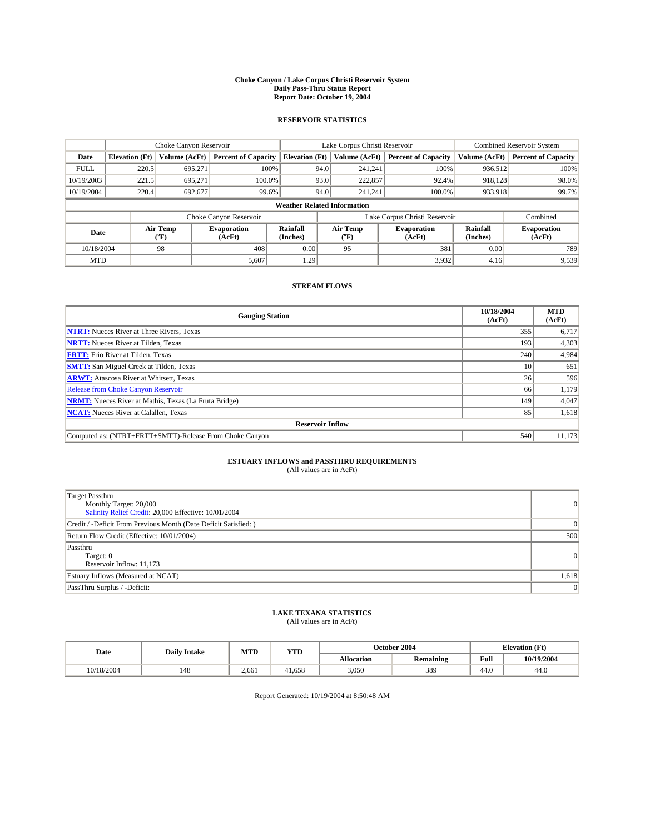#### **Choke Canyon / Lake Corpus Christi Reservoir System Daily Pass-Thru Status Report Report Date: October 19, 2004**

### **RESERVOIR STATISTICS**

|                                                          | Choke Canyon Reservoir |               |                             |                                    | Lake Corpus Christi Reservoir                    |               |                             |                              | <b>Combined Reservoir System</b> |  |  |
|----------------------------------------------------------|------------------------|---------------|-----------------------------|------------------------------------|--------------------------------------------------|---------------|-----------------------------|------------------------------|----------------------------------|--|--|
| Date                                                     | <b>Elevation</b> (Ft)  | Volume (AcFt) | <b>Percent of Capacity</b>  | <b>Elevation</b> (Ft)              |                                                  | Volume (AcFt) | <b>Percent of Capacity</b>  | Volume (AcFt)                | <b>Percent of Capacity</b>       |  |  |
| <b>FULL</b>                                              | 220.5                  | 695,271       | 100%                        |                                    | 94.0                                             | 241,241       | 100%                        | 936,512                      | 100%                             |  |  |
| 10/19/2003                                               | 221.5                  | 695,271       | 100.0%                      |                                    | 93.0                                             | 222,857       | 92.4%                       | 918,128                      | 98.0%                            |  |  |
| 10/19/2004                                               | 220.4                  | 692,677       | 99.6%                       |                                    | 94.0                                             | 241.241       | $100.0\%$                   | 933,918                      | 99.7%                            |  |  |
|                                                          |                        |               |                             | <b>Weather Related Information</b> |                                                  |               |                             |                              |                                  |  |  |
|                                                          |                        |               | Choke Canyon Reservoir      |                                    | Lake Corpus Christi Reservoir                    |               |                             |                              | Combined                         |  |  |
| Air Temp<br><b>Evaporation</b><br>Date<br>(°F)<br>(AcFt) |                        |               | <b>Rainfall</b><br>(Inches) |                                    | Air Temp<br><b>Evaporation</b><br>(AcFt)<br>("F) |               | <b>Rainfall</b><br>(Inches) | <b>Evaporation</b><br>(AcFt) |                                  |  |  |
| 10/18/2004                                               |                        | 98            | 408                         | 0.00                               |                                                  | 95            | 381                         | 0.00                         | 789                              |  |  |
| <b>MTD</b>                                               |                        |               | 5,607                       | 1.29                               |                                                  |               | 3,932                       | 4.16                         | 9,539                            |  |  |

## **STREAM FLOWS**

| <b>Gauging Station</b>                                       | 10/18/2004<br>(AcFt) | <b>MTD</b><br>(AcFt) |
|--------------------------------------------------------------|----------------------|----------------------|
| <b>NTRT:</b> Nueces River at Three Rivers, Texas             | 355                  | 6,717                |
| <b>NRTT:</b> Nueces River at Tilden, Texas                   | 193                  | 4,303                |
| <b>FRTT:</b> Frio River at Tilden, Texas                     | 240                  | 4,984                |
| <b>SMTT:</b> San Miguel Creek at Tilden, Texas               | 10                   | 651                  |
| <b>ARWT:</b> Atascosa River at Whitsett, Texas               | 26                   | 596                  |
| <b>Release from Choke Canyon Reservoir</b>                   | 66                   | 1,179                |
| <b>NRMT:</b> Nueces River at Mathis, Texas (La Fruta Bridge) | 149                  | 4,047                |
| <b>NCAT:</b> Nueces River at Calallen, Texas                 | 85                   | 1,618                |
| <b>Reservoir Inflow</b>                                      |                      |                      |
| Computed as: (NTRT+FRTT+SMTT)-Release From Choke Canyon      | 540                  | 11,173               |

# **ESTUARY INFLOWS and PASSTHRU REQUIREMENTS**<br>(All values are in AcFt)

| Target Passthru<br>Monthly Target: 20,000<br>Salinity Relief Credit: 20,000 Effective: 10/01/2004 | $\overline{0}$ |
|---------------------------------------------------------------------------------------------------|----------------|
| Credit / -Deficit From Previous Month (Date Deficit Satisfied: )                                  | $\Omega$       |
| Return Flow Credit (Effective: 10/01/2004)                                                        | 500            |
| Passthru<br>Target: 0<br>Reservoir Inflow: 11,173                                                 | $\overline{0}$ |
| Estuary Inflows (Measured at NCAT)                                                                | 1,618          |
| PassThru Surplus / -Deficit:                                                                      | $\overline{0}$ |

# **LAKE TEXANA STATISTICS** (All values are in AcFt)

| Date       | <b>Daily Intake</b> | MTD   | <b>YTD</b> |                   | October 2004     | <b>Elevation</b> (Ft) |            |
|------------|---------------------|-------|------------|-------------------|------------------|-----------------------|------------|
|            |                     |       |            | <b>Allocation</b> | <b>Remaining</b> | Full                  | 10/19/2004 |
| 10/18/2004 | 148                 | 2,661 | $-1.658$   | 3.050             | 389              | $\sim$<br>44.U        | 44.0       |

Report Generated: 10/19/2004 at 8:50:48 AM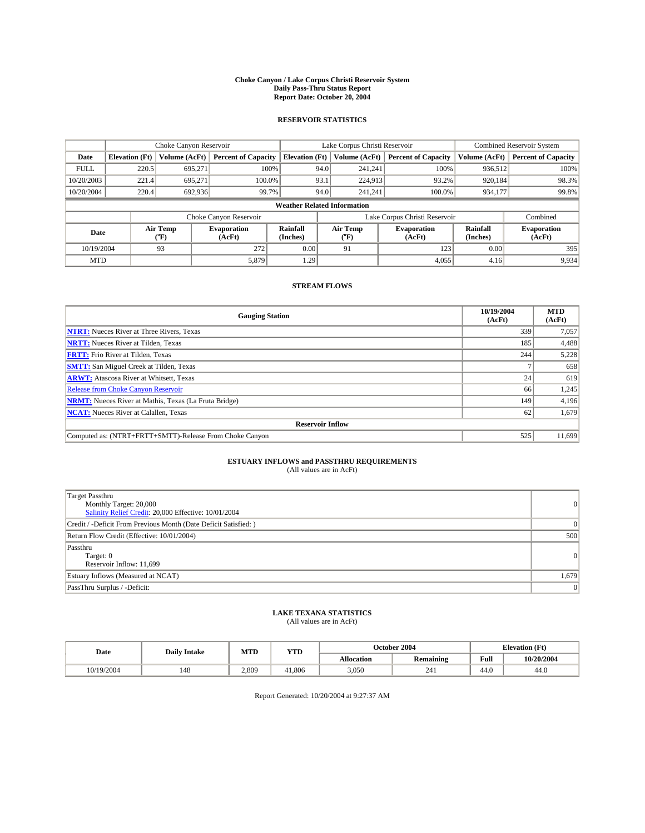#### **Choke Canyon / Lake Corpus Christi Reservoir System Daily Pass-Thru Status Report Report Date: October 20, 2004**

### **RESERVOIR STATISTICS**

|             | Choke Canyon Reservoir                                                                                                                                 |               |                            |                                    | Lake Corpus Christi Reservoir |               |                            |               | <b>Combined Reservoir System</b> |  |  |
|-------------|--------------------------------------------------------------------------------------------------------------------------------------------------------|---------------|----------------------------|------------------------------------|-------------------------------|---------------|----------------------------|---------------|----------------------------------|--|--|
| Date        | <b>Elevation</b> (Ft)                                                                                                                                  | Volume (AcFt) | <b>Percent of Capacity</b> | <b>Elevation</b> (Ft)              |                               | Volume (AcFt) | <b>Percent of Capacity</b> | Volume (AcFt) | <b>Percent of Capacity</b>       |  |  |
| <b>FULL</b> | 220.5                                                                                                                                                  | 695,271       |                            | 100%                               | 94.0                          | 241,241       | 100%                       | 936.512       | 100%                             |  |  |
| 10/20/2003  | 221.4                                                                                                                                                  | 695.271       | $100.0\%$                  |                                    | 93.1                          | 224,913       | 93.2%                      | 920.184       | 98.3%                            |  |  |
| 10/20/2004  | 220.4                                                                                                                                                  | 692,936       | 99.7%                      |                                    | 94.0                          | 241.241       | $100.0\%$                  | 934,177       | 99.8%                            |  |  |
|             |                                                                                                                                                        |               |                            | <b>Weather Related Information</b> |                               |               |                            |               |                                  |  |  |
|             |                                                                                                                                                        |               | Choke Canyon Reservoir     |                                    | Lake Corpus Christi Reservoir |               |                            |               | Combined                         |  |  |
|             | Air Temp<br><b>Rainfall</b><br>Air Temp<br><b>Evaporation</b><br><b>Evaporation</b><br>Date<br>(Inches)<br>${}^{\circ}$ F)<br>(AcFt)<br>(AcFt)<br>("F) |               |                            | Rainfall<br>(Inches)               | <b>Evaporation</b><br>(AcFt)  |               |                            |               |                                  |  |  |
| 10/19/2004  |                                                                                                                                                        | 93            | 272                        | 0.00                               |                               | 91            | 123                        | 0.00          | 395                              |  |  |
| <b>MTD</b>  |                                                                                                                                                        |               | 5,879                      | 1.29                               |                               |               | 4,055                      | 4.16          | 9,934                            |  |  |

## **STREAM FLOWS**

| <b>Gauging Station</b>                                       | 10/19/2004<br>(AcFt) | <b>MTD</b><br>(AcFt) |
|--------------------------------------------------------------|----------------------|----------------------|
| <b>NTRT:</b> Nueces River at Three Rivers, Texas             | 339                  | 7,057                |
| <b>NRTT:</b> Nueces River at Tilden, Texas                   | 185                  | 4,488                |
| <b>FRTT:</b> Frio River at Tilden, Texas                     | 244                  | 5,228                |
| <b>SMTT:</b> San Miguel Creek at Tilden, Texas               |                      | 658                  |
| <b>ARWT:</b> Atascosa River at Whitsett, Texas               | 24                   | 619                  |
| <b>Release from Choke Canyon Reservoir</b>                   | 66                   | 1,245                |
| <b>NRMT:</b> Nueces River at Mathis, Texas (La Fruta Bridge) | 149                  | 4,196                |
| <b>NCAT:</b> Nueces River at Calallen, Texas                 | 62                   | 1,679                |
| <b>Reservoir Inflow</b>                                      |                      |                      |
| Computed as: (NTRT+FRTT+SMTT)-Release From Choke Canyon      | 525                  | 11.699               |

# **ESTUARY INFLOWS and PASSTHRU REQUIREMENTS**<br>(All values are in AcFt)

| Target Passthru<br>Monthly Target: 20,000<br>Salinity Relief Credit: 20,000 Effective: 10/01/2004 | $\overline{0}$ |
|---------------------------------------------------------------------------------------------------|----------------|
| Credit / -Deficit From Previous Month (Date Deficit Satisfied: )                                  | $\Omega$       |
| Return Flow Credit (Effective: 10/01/2004)                                                        | 500            |
| Passthru<br>Target: 0<br>Reservoir Inflow: 11,699                                                 | $\overline{0}$ |
| Estuary Inflows (Measured at NCAT)                                                                | 1,679          |
| PassThru Surplus / -Deficit:                                                                      | $\overline{0}$ |

# **LAKE TEXANA STATISTICS** (All values are in AcFt)

| Date       | <b>Daily Intake</b> | MTD   | <b>YTD</b> |                   | October 2004          | <b>Elevation</b> (Ft) |            |
|------------|---------------------|-------|------------|-------------------|-----------------------|-----------------------|------------|
|            |                     |       |            | <b>Allocation</b> | <b>Remaining</b>      | Full                  | 10/20/2004 |
| 10/19/2004 | 148                 | 2,809 | 41,806     | 3.050             | $\sim$ $\sim$<br>44 I | $\sim$<br>44.V        | 44.0       |

Report Generated: 10/20/2004 at 9:27:37 AM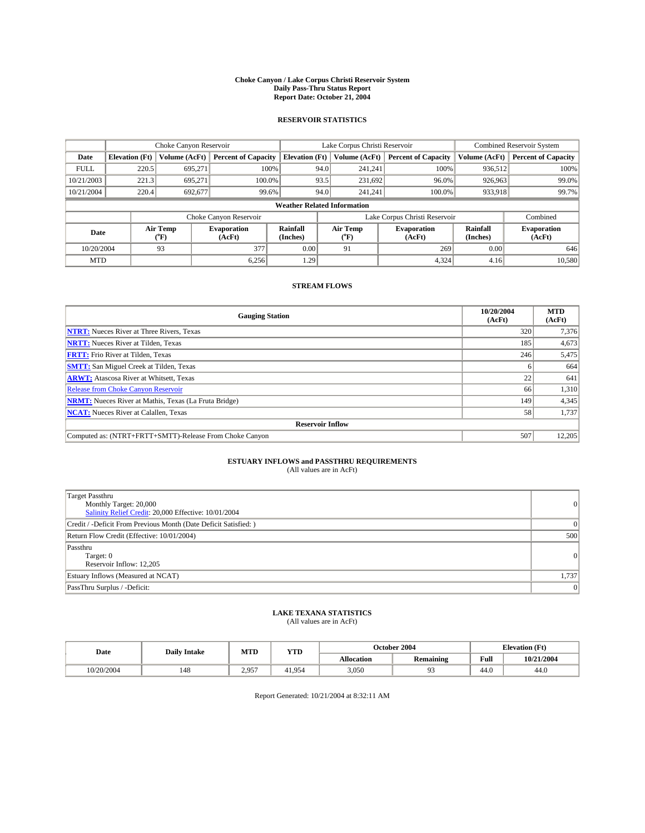#### **Choke Canyon / Lake Corpus Christi Reservoir System Daily Pass-Thru Status Report Report Date: October 21, 2004**

### **RESERVOIR STATISTICS**

|             | Choke Canyon Reservoir |                             |                              |                                    | Lake Corpus Christi Reservoir |                  |                              |                             | <b>Combined Reservoir System</b> |  |  |
|-------------|------------------------|-----------------------------|------------------------------|------------------------------------|-------------------------------|------------------|------------------------------|-----------------------------|----------------------------------|--|--|
| Date        | <b>Elevation</b> (Ft)  | Volume (AcFt)               | <b>Percent of Capacity</b>   | <b>Elevation</b> (Ft)              |                               | Volume (AcFt)    | <b>Percent of Capacity</b>   | Volume (AcFt)               | <b>Percent of Capacity</b>       |  |  |
| <b>FULL</b> | 220.5                  | 695,271                     | 100%                         |                                    | 94.0                          | 241,241          | 100%                         | 936.512                     | 100%                             |  |  |
| 10/21/2003  | 221.3                  | 695.271                     | $100.0\%$                    |                                    | 93.5                          | 231.692          | 96.0%                        | 926,963                     | 99.0%                            |  |  |
| 10/21/2004  | 220.4                  | 692,677                     | 99.6%                        |                                    | 94.0                          | 241.241          | $100.0\%$                    | 933,918                     | 99.7%                            |  |  |
|             |                        |                             |                              | <b>Weather Related Information</b> |                               |                  |                              |                             |                                  |  |  |
|             |                        |                             | Choke Canyon Reservoir       |                                    | Lake Corpus Christi Reservoir |                  |                              | Combined                    |                                  |  |  |
| Date        |                        | Air Temp<br>${}^{\circ}$ F) | <b>Evaporation</b><br>(AcFt) | <b>Rainfall</b><br>(Inches)        |                               | Air Temp<br>("F) | <b>Evaporation</b><br>(AcFt) | <b>Rainfall</b><br>(Inches) | <b>Evaporation</b><br>(AcFt)     |  |  |
| 10/20/2004  |                        | 93                          | 377                          | 0.00                               |                               | 91               | 269                          | 0.00                        | 646                              |  |  |
| <b>MTD</b>  |                        |                             | 6,256                        | 1.29                               |                               |                  | 4,324                        | 4.16                        | 10,580                           |  |  |

## **STREAM FLOWS**

| <b>Gauging Station</b>                                       | 10/20/2004<br>(AcFt) | <b>MTD</b><br>(AcFt) |
|--------------------------------------------------------------|----------------------|----------------------|
| <b>NTRT:</b> Nueces River at Three Rivers, Texas             | 320                  | 7,376                |
| <b>NRTT:</b> Nueces River at Tilden, Texas                   | 185                  | 4,673                |
| <b>FRTT:</b> Frio River at Tilden, Texas                     | 246                  | 5,475                |
| <b>SMTT:</b> San Miguel Creek at Tilden, Texas               |                      | 664                  |
| <b>ARWT:</b> Atascosa River at Whitsett, Texas               | 22                   | 641                  |
| <b>Release from Choke Canyon Reservoir</b>                   | 66                   | 1,310                |
| <b>NRMT:</b> Nueces River at Mathis, Texas (La Fruta Bridge) | 149                  | 4,345                |
| <b>NCAT:</b> Nueces River at Calallen, Texas                 | 58                   | 1,737                |
| <b>Reservoir Inflow</b>                                      |                      |                      |
| Computed as: (NTRT+FRTT+SMTT)-Release From Choke Canyon      | 507                  | 12,205               |

# **ESTUARY INFLOWS and PASSTHRU REQUIREMENTS**<br>(All values are in AcFt)

| Target Passthru<br>Monthly Target: 20,000<br>Salinity Relief Credit: 20,000 Effective: 10/01/2004 | $\overline{0}$ |
|---------------------------------------------------------------------------------------------------|----------------|
| Credit / -Deficit From Previous Month (Date Deficit Satisfied: )                                  | $\Omega$       |
| Return Flow Credit (Effective: 10/01/2004)                                                        | 500            |
| Passthru<br>Target: 0<br>Reservoir Inflow: 12,205                                                 | $\overline{0}$ |
| Estuary Inflows (Measured at NCAT)                                                                | 1,737          |
| PassThru Surplus / -Deficit:                                                                      | $\overline{0}$ |

# **LAKE TEXANA STATISTICS** (All values are in AcFt)

| Date       | <b>Daily Intake</b> | MTD              | <b>YTD</b> |                   | October 2004     |                | <b>Elevation</b> (Ft) |
|------------|---------------------|------------------|------------|-------------------|------------------|----------------|-----------------------|
|            |                     |                  |            | <b>Allocation</b> | <b>Remaining</b> | Full           | 10/21/2004            |
| 10/20/2004 | 148                 | 2.957<br>، ن د ن | +1.954     | 3,050             |                  | $\sim$<br>44.U | 44.0                  |

Report Generated: 10/21/2004 at 8:32:11 AM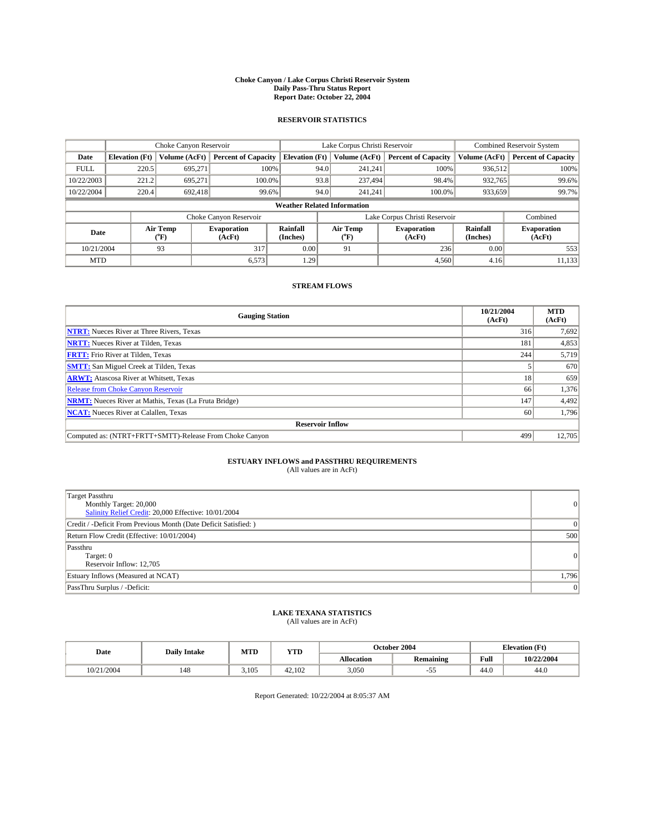#### **Choke Canyon / Lake Corpus Christi Reservoir System Daily Pass-Thru Status Report Report Date: October 22, 2004**

### **RESERVOIR STATISTICS**

|             |                                                                                  |               | Lake Corpus Christi Reservoir |                                    |                               |                              | <b>Combined Reservoir System</b> |               |                            |
|-------------|----------------------------------------------------------------------------------|---------------|-------------------------------|------------------------------------|-------------------------------|------------------------------|----------------------------------|---------------|----------------------------|
| Date        | <b>Elevation</b> (Ft)                                                            | Volume (AcFt) | <b>Percent of Capacity</b>    | <b>Elevation (Ft)</b>              |                               | Volume (AcFt)                | <b>Percent of Capacity</b>       | Volume (AcFt) | <b>Percent of Capacity</b> |
| <b>FULL</b> | 220.5                                                                            | 695,271       |                               | 100%                               | 94.0                          | 241,241                      | 100%                             | 936.512       | 100%                       |
| 10/22/2003  | 221.2                                                                            | 695.271       | $100.0\%$                     |                                    | 93.8                          | 237,494                      | 98.4%                            | 932,765       | 99.6%                      |
| 10/22/2004  | 220.4                                                                            | 692.418       | 99.6%                         |                                    | 94.0                          | 241,241                      | $100.0\%$                        | 933,659       | 99.7%                      |
|             |                                                                                  |               |                               | <b>Weather Related Information</b> |                               |                              |                                  |               |                            |
|             |                                                                                  |               | Choke Canyon Reservoir        |                                    | Lake Corpus Christi Reservoir |                              |                                  |               | Combined                   |
|             | Air Temp<br>Rainfall<br><b>Evaporation</b><br>Date<br>(°F)<br>(AcFt)<br>(Inches) |               | Air Temp<br>("F)              | <b>Evaporation</b><br>(AcFt)       | Rainfall<br>(Inches)          | <b>Evaporation</b><br>(AcFt) |                                  |               |                            |
| 10/21/2004  |                                                                                  | 93            | 317                           | 0.00                               |                               | 91                           | 236                              | 0.00          | 553                        |
| <b>MTD</b>  |                                                                                  |               | 6,573                         | 1.29                               |                               |                              | 4,560                            | 4.16          | 11,133                     |

## **STREAM FLOWS**

| <b>Gauging Station</b>                                       | 10/21/2004<br>(AcFt) | <b>MTD</b><br>(AcFt) |
|--------------------------------------------------------------|----------------------|----------------------|
| <b>NTRT:</b> Nueces River at Three Rivers, Texas             | 316                  | 7,692                |
| <b>NRTT:</b> Nueces River at Tilden, Texas                   | 181                  | 4,853                |
| <b>FRTT:</b> Frio River at Tilden, Texas                     | 244                  | 5,719                |
| <b>SMTT:</b> San Miguel Creek at Tilden, Texas               |                      | 670                  |
| <b>ARWT:</b> Atascosa River at Whitsett, Texas               | 18                   | 659                  |
| <b>Release from Choke Canyon Reservoir</b>                   | 66                   | 1,376                |
| <b>NRMT:</b> Nueces River at Mathis, Texas (La Fruta Bridge) | 147                  | 4,492                |
| <b>NCAT:</b> Nueces River at Calallen, Texas                 | -60                  | 1,796                |
| <b>Reservoir Inflow</b>                                      |                      |                      |
| Computed as: (NTRT+FRTT+SMTT)-Release From Choke Canyon      | 499                  | 12.705               |

## **ESTUARY INFLOWS and PASSTHRU REQUIREMENTS**<br>(All values are in AcFt)

| Target Passthru<br>Monthly Target: 20,000<br>Salinity Relief Credit: 20,000 Effective: 10/01/2004 | $\overline{0}$ |
|---------------------------------------------------------------------------------------------------|----------------|
| Credit / -Deficit From Previous Month (Date Deficit Satisfied: )                                  | $\Omega$       |
| Return Flow Credit (Effective: 10/01/2004)                                                        | 500            |
| Passthru<br>Target: 0<br>Reservoir Inflow: 12,705                                                 | $\overline{0}$ |
| Estuary Inflows (Measured at NCAT)                                                                | 1,796          |
| PassThru Surplus / -Deficit:                                                                      | $\overline{0}$ |

# **LAKE TEXANA STATISTICS** (All values are in AcFt)

| Date       | <b>Daily Intake</b> | MTD   | <b>YTD</b> |                   | October 2004     |                            | <b>Elevation</b> (Ft) |
|------------|---------------------|-------|------------|-------------------|------------------|----------------------------|-----------------------|
|            |                     |       |            | <b>Allocation</b> | <b>Remaining</b> | Full                       | 10/22/2004            |
| 10/21/2004 | 148                 | 3.105 | 42.102     | 3,050             | ້.               | $\sim$<br>44. <sub>V</sub> | 44.0                  |

Report Generated: 10/22/2004 at 8:05:37 AM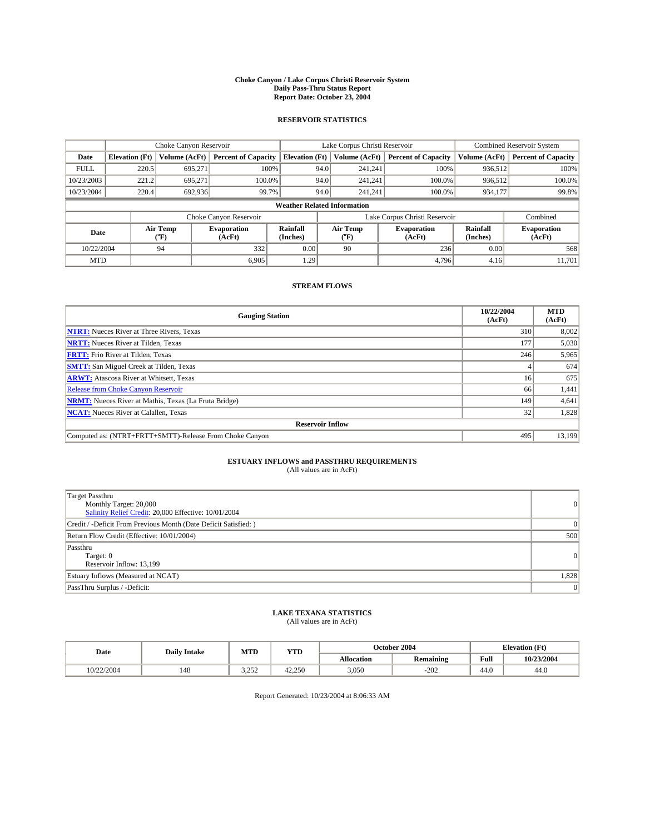#### **Choke Canyon / Lake Corpus Christi Reservoir System Daily Pass-Thru Status Report Report Date: October 23, 2004**

### **RESERVOIR STATISTICS**

|             | Choke Canyon Reservoir   |               | Lake Corpus Christi Reservoir |                                    |                               |                  | <b>Combined Reservoir System</b> |                             |                              |
|-------------|--------------------------|---------------|-------------------------------|------------------------------------|-------------------------------|------------------|----------------------------------|-----------------------------|------------------------------|
| Date        | <b>Elevation</b> (Ft)    | Volume (AcFt) | <b>Percent of Capacity</b>    | <b>Elevation</b> (Ft)              |                               | Volume (AcFt)    | <b>Percent of Capacity</b>       | Volume (AcFt)               | <b>Percent of Capacity</b>   |
| <b>FULL</b> | 220.5                    | 695,271       |                               | 100%                               | 94.0                          | 241,241          | 100%                             | 936.512                     | 100%                         |
| 10/23/2003  | 221.2                    | 695.271       | $100.0\%$                     |                                    | 94.0                          | 241.241          | $100.0\%$                        | 936,512                     | 100.0%                       |
| 10/23/2004  | 220.4                    | 692,936       |                               | 99.7%                              | 94.0                          | 241.241          | $100.0\%$                        | 934,177                     | 99.8%                        |
|             |                          |               |                               | <b>Weather Related Information</b> |                               |                  |                                  |                             |                              |
|             |                          |               | Choke Canyon Reservoir        |                                    | Lake Corpus Christi Reservoir |                  |                                  |                             | Combined                     |
|             | Air Temp<br>Date<br>(°F) |               | <b>Evaporation</b><br>(AcFt)  | <b>Rainfall</b><br>(Inches)        |                               | Air Temp<br>("F) | <b>Evaporation</b><br>(AcFt)     | <b>Rainfall</b><br>(Inches) | <b>Evaporation</b><br>(AcFt) |
| 10/22/2004  |                          | 94            | 332                           | 0.00                               |                               | 90               | 236                              | 0.00                        | 568                          |
| <b>MTD</b>  |                          |               | 6.905                         | 1.29                               |                               |                  | 4,796                            | 4.16                        | 11,701                       |

## **STREAM FLOWS**

| <b>Gauging Station</b>                                       | 10/22/2004<br>(AcFt) | <b>MTD</b><br>(AcFt) |
|--------------------------------------------------------------|----------------------|----------------------|
| <b>NTRT:</b> Nueces River at Three Rivers, Texas             | 310                  | 8,002                |
| <b>NRTT:</b> Nueces River at Tilden, Texas                   | 177                  | 5,030                |
| <b>FRTT:</b> Frio River at Tilden, Texas                     | 246                  | 5,965                |
| <b>SMTT:</b> San Miguel Creek at Tilden, Texas               |                      | 674                  |
| <b>ARWT:</b> Atascosa River at Whitsett, Texas               | 16                   | 675                  |
| <b>Release from Choke Canyon Reservoir</b>                   | 66                   | 1,441                |
| <b>NRMT:</b> Nueces River at Mathis, Texas (La Fruta Bridge) | 149                  | 4,641                |
| <b>NCAT:</b> Nueces River at Calallen, Texas                 | 32                   | 1,828                |
| <b>Reservoir Inflow</b>                                      |                      |                      |
| Computed as: (NTRT+FRTT+SMTT)-Release From Choke Canyon      | 495                  | 13.199               |

# **ESTUARY INFLOWS and PASSTHRU REQUIREMENTS**<br>(All values are in AcFt)

| Target Passthru<br>Monthly Target: 20,000<br>Salinity Relief Credit: 20,000 Effective: 10/01/2004 | $\overline{0}$ |
|---------------------------------------------------------------------------------------------------|----------------|
| Credit / -Deficit From Previous Month (Date Deficit Satisfied: )                                  | $\Omega$       |
| Return Flow Credit (Effective: 10/01/2004)                                                        | 500            |
| Passthru<br>Target: 0<br>Reservoir Inflow: 13,199                                                 | $\overline{0}$ |
| Estuary Inflows (Measured at NCAT)                                                                | 1,828          |
| PassThru Surplus / -Deficit:                                                                      | $\overline{0}$ |

# **LAKE TEXANA STATISTICS** (All values are in AcFt)

| Date      | <b>Daily Intake</b> | MTD          | <b>YTD</b> |                   | October 2004     | <b>Elevation</b> (Ft) |            |
|-----------|---------------------|--------------|------------|-------------------|------------------|-----------------------|------------|
|           |                     |              |            | <b>Allocation</b> | <b>Remaining</b> | Full                  | 10/23/2004 |
| 0/22/2004 | 148                 | 25<br>ے رے د | 42.250     | 3,050             | $-202$           | $\sim$<br>44.v        | 44.0       |

Report Generated: 10/23/2004 at 8:06:33 AM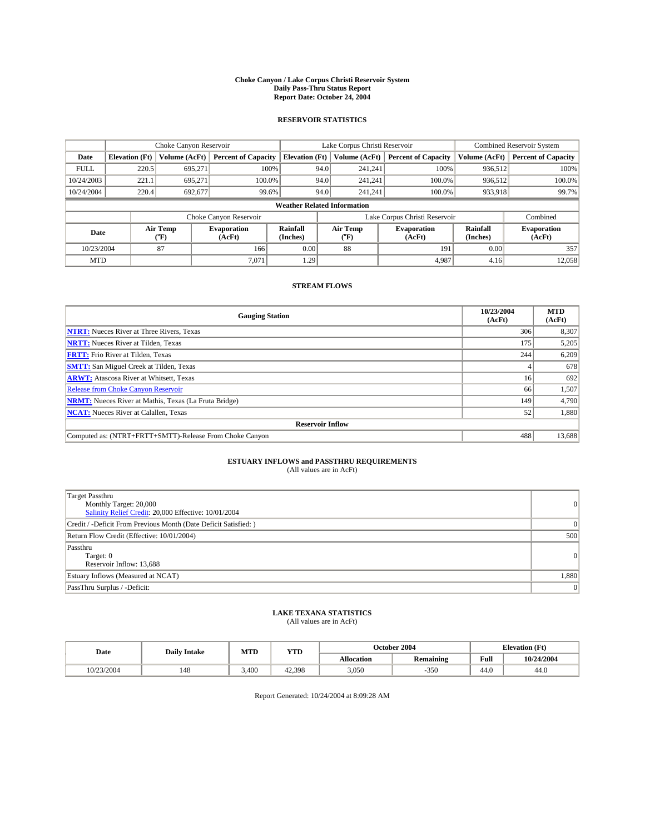#### **Choke Canyon / Lake Corpus Christi Reservoir System Daily Pass-Thru Status Report Report Date: October 24, 2004**

### **RESERVOIR STATISTICS**

|             |                                                                                                      |               | Lake Corpus Christi Reservoir |                                    |                               |                              | <b>Combined Reservoir System</b> |               |                            |
|-------------|------------------------------------------------------------------------------------------------------|---------------|-------------------------------|------------------------------------|-------------------------------|------------------------------|----------------------------------|---------------|----------------------------|
| Date        | <b>Elevation</b> (Ft)                                                                                | Volume (AcFt) | <b>Percent of Capacity</b>    | <b>Elevation (Ft)</b>              |                               | Volume (AcFt)                | <b>Percent of Capacity</b>       | Volume (AcFt) | <b>Percent of Capacity</b> |
| <b>FULL</b> | 220.5                                                                                                | 695,271       |                               | 100%                               | 94.0                          | 241,241                      | 100%                             | 936.512       | 100%                       |
| 10/24/2003  | 221.1                                                                                                | 695.271       | $100.0\%$                     |                                    | 94.0                          | 241.241                      | $100.0\%$                        | 936.512       | 100.0%                     |
| 10/24/2004  | 220.4                                                                                                | 692.677       | 99.6%                         |                                    | 94.0                          | 241.241                      | $100.0\%$                        | 933,918       | 99.7%                      |
|             |                                                                                                      |               |                               | <b>Weather Related Information</b> |                               |                              |                                  |               |                            |
|             |                                                                                                      |               | Choke Canyon Reservoir        |                                    | Lake Corpus Christi Reservoir |                              |                                  |               | Combined                   |
|             | Air Temp<br>Rainfall<br>Air Temp<br><b>Evaporation</b><br>Date<br>(°F)<br>(AcFt)<br>(Inches)<br>("F) |               |                               | <b>Evaporation</b><br>(AcFt)       | Rainfall<br>(Inches)          | <b>Evaporation</b><br>(AcFt) |                                  |               |                            |
| 10/23/2004  |                                                                                                      | 87            | 166                           | 0.00                               |                               | 88                           | 191                              | 0.00          | 357                        |
| <b>MTD</b>  |                                                                                                      |               | 7.071                         | 1.29                               |                               |                              | 4.987                            | 4.16          | 12,058                     |

## **STREAM FLOWS**

| <b>Gauging Station</b>                                       | 10/23/2004<br>(AcFt) | <b>MTD</b><br>(AcFt) |
|--------------------------------------------------------------|----------------------|----------------------|
| <b>NTRT:</b> Nueces River at Three Rivers, Texas             | 306                  | 8,307                |
| <b>NRTT:</b> Nueces River at Tilden, Texas                   | 175                  | 5,205                |
| <b>FRTT:</b> Frio River at Tilden, Texas                     | 244                  | 6,209                |
| <b>SMTT:</b> San Miguel Creek at Tilden, Texas               |                      | 678                  |
| <b>ARWT:</b> Atascosa River at Whitsett, Texas               | 16                   | 692                  |
| <b>Release from Choke Canyon Reservoir</b>                   | 66                   | 1,507                |
| <b>NRMT:</b> Nueces River at Mathis, Texas (La Fruta Bridge) | 149                  | 4,790                |
| <b>NCAT:</b> Nueces River at Calallen, Texas                 | 52                   | 1,880                |
| <b>Reservoir Inflow</b>                                      |                      |                      |
| Computed as: (NTRT+FRTT+SMTT)-Release From Choke Canyon      | 488                  | 13,688               |

## **ESTUARY INFLOWS and PASSTHRU REQUIREMENTS**<br>(All values are in AcFt)

| Target Passthru<br>Monthly Target: 20,000<br>Salinity Relief Credit: 20,000 Effective: 10/01/2004 | $\overline{0}$ |
|---------------------------------------------------------------------------------------------------|----------------|
| Credit / -Deficit From Previous Month (Date Deficit Satisfied: )                                  | $\Omega$       |
| Return Flow Credit (Effective: 10/01/2004)                                                        | 500            |
| Passthru<br>Target: 0<br>Reservoir Inflow: 13,688                                                 | $\overline{0}$ |
| Estuary Inflows (Measured at NCAT)                                                                | 1,880          |
| PassThru Surplus / -Deficit:                                                                      | $\overline{0}$ |

# **LAKE TEXANA STATISTICS** (All values are in AcFt)

| Date                   | <b>Daily Intake</b> | MTD   | <b>YTD</b> |                   | October 2004     |                | <b>Elevation</b> (Ft) |
|------------------------|---------------------|-------|------------|-------------------|------------------|----------------|-----------------------|
|                        |                     |       |            | <b>Allocation</b> | <b>Remaining</b> | Full           | 10/24/2004            |
| 10/23/2004<br>/3/ الله | 148                 | 3.400 | 42.398     | 3,050             | 350              | $\sim$<br>44.v | 44.0                  |

Report Generated: 10/24/2004 at 8:09:28 AM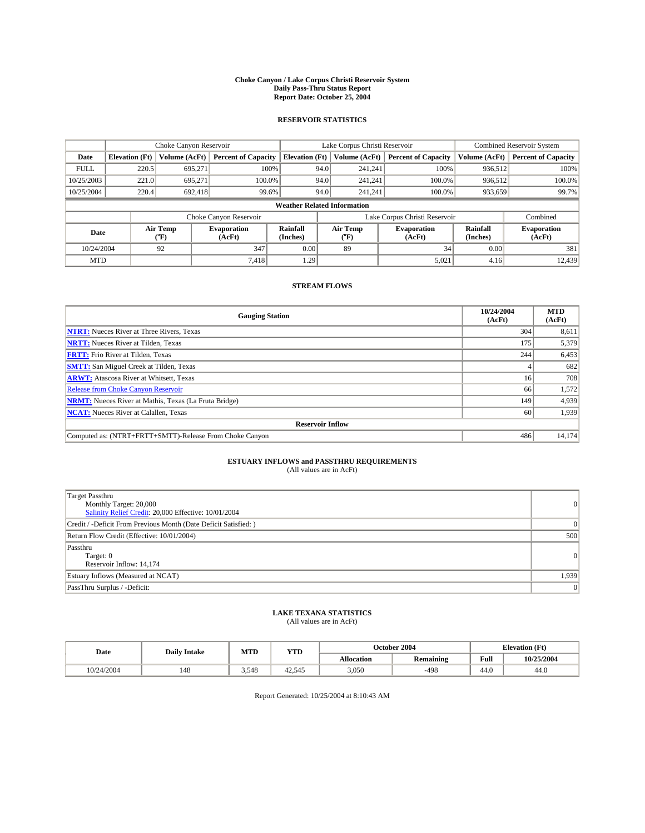#### **Choke Canyon / Lake Corpus Christi Reservoir System Daily Pass-Thru Status Report Report Date: October 25, 2004**

### **RESERVOIR STATISTICS**

|             | Choke Canyon Reservoir                                                                                                               |               | Lake Corpus Christi Reservoir |                                    |                               |               | <b>Combined Reservoir System</b> |               |                            |
|-------------|--------------------------------------------------------------------------------------------------------------------------------------|---------------|-------------------------------|------------------------------------|-------------------------------|---------------|----------------------------------|---------------|----------------------------|
| Date        | <b>Elevation</b> (Ft)                                                                                                                | Volume (AcFt) | <b>Percent of Capacity</b>    | <b>Elevation (Ft)</b>              |                               | Volume (AcFt) | <b>Percent of Capacity</b>       | Volume (AcFt) | <b>Percent of Capacity</b> |
| <b>FULL</b> | 220.5                                                                                                                                | 695,271       |                               | 100%                               | 94.0                          | 241,241       | 100%                             | 936.512       | 100%                       |
| 10/25/2003  | 221.0                                                                                                                                | 695.271       | $100.0\%$                     |                                    | 94.0                          | 241.241       | $100.0\%$                        | 936.512       | 100.0%                     |
| 10/25/2004  | 220.4                                                                                                                                | 692.418       | 99.6%                         |                                    | 94.0                          | 241,241       | $100.0\%$                        | 933,659       | 99.7%                      |
|             |                                                                                                                                      |               |                               | <b>Weather Related Information</b> |                               |               |                                  |               |                            |
|             |                                                                                                                                      |               | Choke Canyon Reservoir        |                                    | Lake Corpus Christi Reservoir |               |                                  |               | Combined                   |
|             | Air Temp<br>Rainfall<br>Air Temp<br><b>Evaporation</b><br><b>Evaporation</b><br>Date<br>(°F)<br>(AcFt)<br>(Inches)<br>(AcFt)<br>("F) |               | Rainfall<br>(Inches)          | <b>Evaporation</b><br>(AcFt)       |                               |               |                                  |               |                            |
| 10/24/2004  |                                                                                                                                      | 92            | 347                           | 0.00                               |                               | 89            | 34                               | 0.00          | 381                        |
| <b>MTD</b>  |                                                                                                                                      |               | 7,418                         | 1.29                               |                               |               | 5,021                            | 4.16          | 12,439                     |

## **STREAM FLOWS**

| <b>Gauging Station</b>                                       | 10/24/2004<br>(AcFt) | <b>MTD</b><br>(AcFt) |
|--------------------------------------------------------------|----------------------|----------------------|
| <b>NTRT:</b> Nueces River at Three Rivers, Texas             | 304                  | 8,611                |
| <b>NRTT:</b> Nueces River at Tilden, Texas                   | 175                  | 5,379                |
| <b>FRTT:</b> Frio River at Tilden, Texas                     | 244                  | 6,453                |
| <b>SMTT:</b> San Miguel Creek at Tilden, Texas               |                      | 682                  |
| <b>ARWT:</b> Atascosa River at Whitsett, Texas               | 16                   | 708                  |
| <b>Release from Choke Canyon Reservoir</b>                   | 66                   | 1,572                |
| <b>NRMT:</b> Nueces River at Mathis, Texas (La Fruta Bridge) | 149                  | 4,939                |
| <b>NCAT:</b> Nueces River at Calallen, Texas                 | -60                  | 1,939                |
| <b>Reservoir Inflow</b>                                      |                      |                      |
| Computed as: (NTRT+FRTT+SMTT)-Release From Choke Canyon      | 486                  | 14,174               |

## **ESTUARY INFLOWS and PASSTHRU REQUIREMENTS**<br>(All values are in AcFt)

| Target Passthru<br>Monthly Target: 20,000<br>Salinity Relief Credit: 20,000 Effective: 10/01/2004 | $\overline{0}$ |
|---------------------------------------------------------------------------------------------------|----------------|
| Credit / -Deficit From Previous Month (Date Deficit Satisfied: )                                  | $\Omega$       |
| Return Flow Credit (Effective: 10/01/2004)                                                        | 500            |
| Passthru<br>Target: 0<br>Reservoir Inflow: 14,174                                                 | $\overline{0}$ |
| Estuary Inflows (Measured at NCAT)                                                                | 1,939          |
| PassThru Surplus / -Deficit:                                                                      | $\overline{0}$ |

# **LAKE TEXANA STATISTICS** (All values are in AcFt)

| Date       | <b>Daily Intake</b> | MTD   | <b>YTD</b> |                   | October 2004     | <b>Elevation</b> (Ft)  |            |
|------------|---------------------|-------|------------|-------------------|------------------|------------------------|------------|
|            |                     |       |            | <b>Allocation</b> | <b>Remaining</b> | Full                   | 10/25/2004 |
| 10/24/2004 | 148                 | 3.548 | 42.545     | 3,050             | $-498$           | $\overline{A}$<br>44.v | 44.0       |

Report Generated: 10/25/2004 at 8:10:43 AM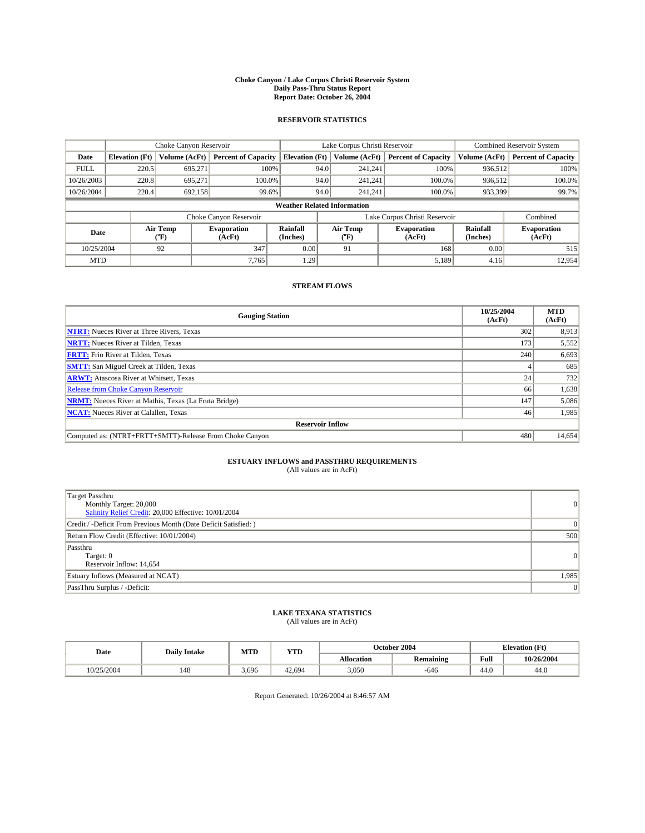#### **Choke Canyon / Lake Corpus Christi Reservoir System Daily Pass-Thru Status Report Report Date: October 26, 2004**

### **RESERVOIR STATISTICS**

|             | Choke Canyon Reservoir |                  | Lake Corpus Christi Reservoir |                                    |                               |                  | <b>Combined Reservoir System</b> |                      |                              |
|-------------|------------------------|------------------|-------------------------------|------------------------------------|-------------------------------|------------------|----------------------------------|----------------------|------------------------------|
| Date        | <b>Elevation</b> (Ft)  | Volume (AcFt)    | <b>Percent of Capacity</b>    | <b>Elevation</b> (Ft)              |                               | Volume (AcFt)    | <b>Percent of Capacity</b>       | Volume (AcFt)        | <b>Percent of Capacity</b>   |
| <b>FULL</b> | 220.5                  | 695.271          | 100%                          |                                    | 94.0                          | 241,241          | 100%                             | 936.512              | 100%                         |
| 10/26/2003  | 220.8                  | 695.271          | $100.0\%$                     |                                    | 94.0                          | 241.241          | 100.0%                           | 936.512              | 100.0%                       |
| 10/26/2004  | 220.4                  | 692,158          | 99.6%                         |                                    | 94.0                          | 241.241          | 100.0%                           | 933,399              | 99.7%                        |
|             |                        |                  |                               | <b>Weather Related Information</b> |                               |                  |                                  |                      |                              |
|             |                        |                  | Choke Canyon Reservoir        |                                    | Lake Corpus Christi Reservoir |                  |                                  |                      | Combined                     |
| Date        |                        | Air Temp<br>(°F) | <b>Evaporation</b><br>(AcFt)  | Rainfall<br>(Inches)               |                               | Air Temp<br>("F) | <b>Evaporation</b><br>(AcFt)     | Rainfall<br>(Inches) | <b>Evaporation</b><br>(AcFt) |
| 10/25/2004  |                        | 92               | 347                           | 0.00                               |                               | 91               | 168                              | 0.00                 | 515                          |
| <b>MTD</b>  |                        |                  | 7,765                         | 1.29                               |                               |                  | 5,189                            | 4.16                 | 12,954                       |

## **STREAM FLOWS**

| <b>Gauging Station</b>                                       | 10/25/2004<br>(AcFt) | <b>MTD</b><br>(AcFt) |
|--------------------------------------------------------------|----------------------|----------------------|
| <b>NTRT:</b> Nueces River at Three Rivers, Texas             | 302                  | 8,913                |
| <b>NRTT:</b> Nueces River at Tilden, Texas                   | 173                  | 5,552                |
| <b>FRTT:</b> Frio River at Tilden, Texas                     | 240                  | 6,693                |
| <b>SMTT:</b> San Miguel Creek at Tilden, Texas               |                      | 685                  |
| <b>ARWT:</b> Atascosa River at Whitsett, Texas               | 24                   | 732                  |
| <b>Release from Choke Canyon Reservoir</b>                   | 66                   | 1,638                |
| <b>NRMT:</b> Nueces River at Mathis, Texas (La Fruta Bridge) | 147                  | 5,086                |
| <b>NCAT:</b> Nueces River at Calallen, Texas                 | 46                   | 1,985                |
| <b>Reservoir Inflow</b>                                      |                      |                      |
| Computed as: (NTRT+FRTT+SMTT)-Release From Choke Canyon      | 480                  | 14,654               |

## **ESTUARY INFLOWS and PASSTHRU REQUIREMENTS**<br>(All values are in AcFt)

| Target Passthru<br>Monthly Target: 20,000<br>Salinity Relief Credit: 20,000 Effective: 10/01/2004 | $\overline{0}$ |
|---------------------------------------------------------------------------------------------------|----------------|
| Credit / -Deficit From Previous Month (Date Deficit Satisfied: )                                  | $\Omega$       |
| Return Flow Credit (Effective: 10/01/2004)                                                        | 500            |
| Passthru<br>Target: 0<br>Reservoir Inflow: 14,654                                                 | $\overline{0}$ |
| Estuary Inflows (Measured at NCAT)                                                                | 1,985          |
| PassThru Surplus / -Deficit:                                                                      | $\overline{0}$ |

# **LAKE TEXANA STATISTICS** (All values are in AcFt)

| Date       | <b>Daily Intake</b> | MTD   | <b>YTD</b> |                   | October 2004     |                            | <b>Elevation (Ft)</b> |
|------------|---------------------|-------|------------|-------------------|------------------|----------------------------|-----------------------|
|            |                     |       |            | <b>Allocation</b> | <b>Remaining</b> | Full                       | 10/26/2004            |
| 10/25/2004 | 148                 | 3,696 | 42.694     | 3,050             | -646             | $\sim$<br>44. <sub>V</sub> | 44.0                  |

Report Generated: 10/26/2004 at 8:46:57 AM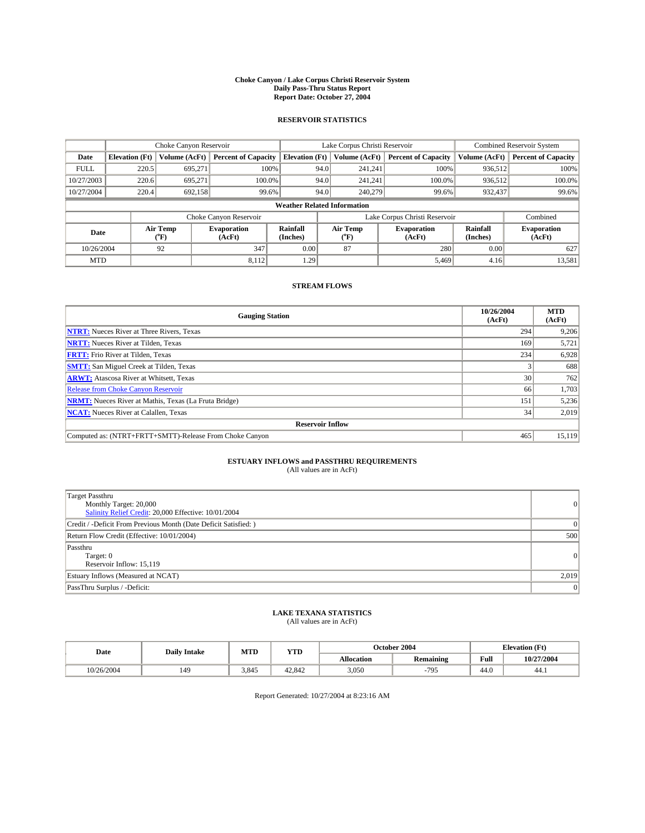#### **Choke Canyon / Lake Corpus Christi Reservoir System Daily Pass-Thru Status Report Report Date: October 27, 2004**

### **RESERVOIR STATISTICS**

|             | Choke Canyon Reservoir |                                                                                                                              | Lake Corpus Christi Reservoir |                                    |                               |               | <b>Combined Reservoir System</b> |               |                            |
|-------------|------------------------|------------------------------------------------------------------------------------------------------------------------------|-------------------------------|------------------------------------|-------------------------------|---------------|----------------------------------|---------------|----------------------------|
| Date        | <b>Elevation</b> (Ft)  | Volume (AcFt)                                                                                                                | <b>Percent of Capacity</b>    | <b>Elevation (Ft)</b>              |                               | Volume (AcFt) | <b>Percent of Capacity</b>       | Volume (AcFt) | <b>Percent of Capacity</b> |
| <b>FULL</b> | 220.5                  | 695,271                                                                                                                      |                               | 100%                               | 94.0                          | 241,241       | 100%                             | 936.512       | 100%                       |
| 10/27/2003  | 220.6                  | 695.271                                                                                                                      | $100.0\%$                     |                                    | 94.0                          | 241.241       | $100.0\%$                        | 936,512       | 100.0%                     |
| 10/27/2004  | 220.4                  | 692.158                                                                                                                      | 99.6%                         |                                    | 94.0                          | 240,279       | 99.6%                            | 932,437       | 99.6%                      |
|             |                        |                                                                                                                              |                               | <b>Weather Related Information</b> |                               |               |                                  |               |                            |
|             |                        |                                                                                                                              | Choke Canyon Reservoir        |                                    | Lake Corpus Christi Reservoir |               |                                  |               | Combined                   |
| Date        |                        | Air Temp<br>Rainfall<br>Air Temp<br><b>Evaporation</b><br><b>Evaporation</b><br>(°F)<br>(AcFt)<br>(Inches)<br>(AcFt)<br>("F) |                               | Rainfall<br>(Inches)               | <b>Evaporation</b><br>(AcFt)  |               |                                  |               |                            |
| 10/26/2004  |                        | 92                                                                                                                           | 347                           | 0.00                               |                               | 87            | 280                              | 0.00          | 627                        |
| <b>MTD</b>  |                        |                                                                                                                              | 8,112                         | 1.29                               |                               |               | 5,469                            | 4.16          | 13,581                     |

## **STREAM FLOWS**

| <b>Gauging Station</b>                                       | 10/26/2004<br>(AcFt) | <b>MTD</b><br>(AcFt) |
|--------------------------------------------------------------|----------------------|----------------------|
| <b>NTRT:</b> Nueces River at Three Rivers, Texas             | 294                  | 9,206                |
| <b>NRTT:</b> Nueces River at Tilden, Texas                   | 169                  | 5,721                |
| <b>FRTT:</b> Frio River at Tilden, Texas                     | 234                  | 6,928                |
| <b>SMTT:</b> San Miguel Creek at Tilden, Texas               |                      | 688                  |
| <b>ARWT:</b> Atascosa River at Whitsett, Texas               | 30 <sup>1</sup>      | 762                  |
| <b>Release from Choke Canyon Reservoir</b>                   | 66                   | 1,703                |
| <b>NRMT:</b> Nueces River at Mathis, Texas (La Fruta Bridge) | 151                  | 5,236                |
| <b>NCAT:</b> Nueces River at Calallen, Texas                 | 34                   | 2,019                |
| <b>Reservoir Inflow</b>                                      |                      |                      |
| Computed as: (NTRT+FRTT+SMTT)-Release From Choke Canyon      | 465                  | 15.119               |

## **ESTUARY INFLOWS and PASSTHRU REQUIREMENTS**<br>(All values are in AcFt)

| Target Passthru<br>Monthly Target: 20,000<br>Salinity Relief Credit: 20,000 Effective: 10/01/2004 | $\overline{0}$ |
|---------------------------------------------------------------------------------------------------|----------------|
| Credit / -Deficit From Previous Month (Date Deficit Satisfied: )                                  | $\Omega$       |
| Return Flow Credit (Effective: 10/01/2004)                                                        | 500            |
| Passthru<br>Target: 0<br>Reservoir Inflow: 15,119                                                 | $\overline{0}$ |
| Estuary Inflows (Measured at NCAT)                                                                | 2,019          |
| PassThru Surplus / -Deficit:                                                                      | $\overline{0}$ |

# **LAKE TEXANA STATISTICS** (All values are in AcFt)

| Date       | <b>Daily Intake</b> | MTD   | <b>YTD</b> |                   | October 2004     | <b>Elevation</b> (Ft)      |            |
|------------|---------------------|-------|------------|-------------------|------------------|----------------------------|------------|
|            |                     |       |            | <b>Allocation</b> | <b>Remaining</b> | Full                       | 10/27/2004 |
| 10/26/2004 | 149                 | 3.845 | 42.842     | 3,050             | 795              | $\sim$<br>44. <sub>V</sub> | 44.1       |

Report Generated: 10/27/2004 at 8:23:16 AM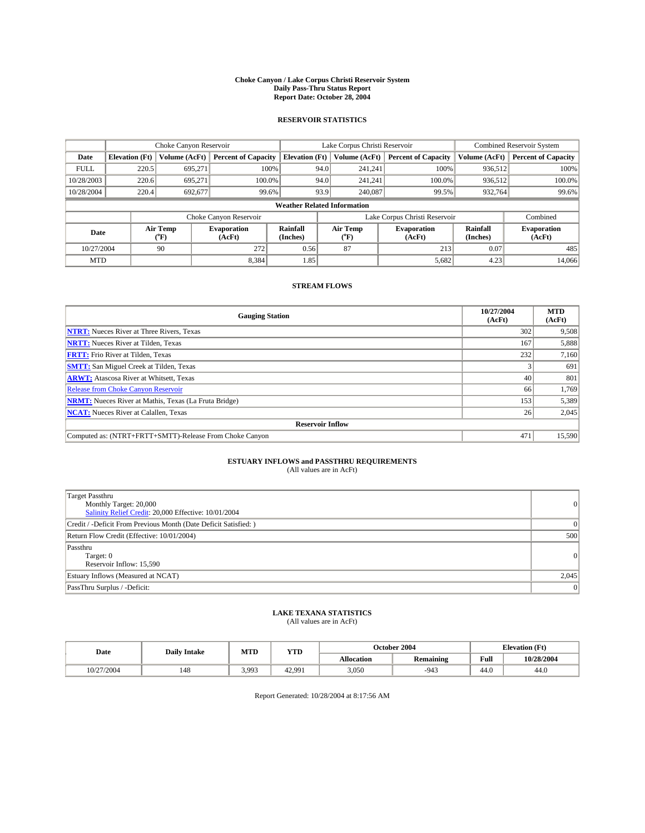#### **Choke Canyon / Lake Corpus Christi Reservoir System Daily Pass-Thru Status Report Report Date: October 28, 2004**

### **RESERVOIR STATISTICS**

|             | Choke Canyon Reservoir |                  |                              |                                    | Lake Corpus Christi Reservoir |                  |                              |                      | <b>Combined Reservoir System</b> |  |  |
|-------------|------------------------|------------------|------------------------------|------------------------------------|-------------------------------|------------------|------------------------------|----------------------|----------------------------------|--|--|
| Date        | <b>Elevation</b> (Ft)  | Volume (AcFt)    | <b>Percent of Capacity</b>   | <b>Elevation (Ft)</b>              |                               | Volume (AcFt)    | <b>Percent of Capacity</b>   | Volume (AcFt)        | <b>Percent of Capacity</b>       |  |  |
| <b>FULL</b> | 220.5                  | 695,271          |                              | 100%                               | 94.0                          | 241,241          | 100%                         | 936.512              | 100%                             |  |  |
| 10/28/2003  | 220.6                  | 695.271          | $100.0\%$                    |                                    | 94.0                          | 241.241          | $100.0\%$                    | 936.512              | 100.0%                           |  |  |
| 10/28/2004  | 220.4                  | 692.677          | 99.6%                        |                                    | 93.9<br>240,087<br>99.5%      |                  | 932,764                      | 99.6%                |                                  |  |  |
|             |                        |                  |                              | <b>Weather Related Information</b> |                               |                  |                              |                      |                                  |  |  |
|             |                        |                  | Choke Canyon Reservoir       |                                    | Lake Corpus Christi Reservoir |                  |                              |                      | Combined                         |  |  |
| Date        |                        | Air Temp<br>(°F) | <b>Evaporation</b><br>(AcFt) | Rainfall<br>(Inches)               |                               | Air Temp<br>("F) | <b>Evaporation</b><br>(AcFt) | Rainfall<br>(Inches) | <b>Evaporation</b><br>(AcFt)     |  |  |
| 10/27/2004  |                        | 90               | 272                          | 0.56                               |                               | 87               | 213                          | 0.07                 | 485                              |  |  |
| <b>MTD</b>  |                        |                  | 8,384                        | 1.85                               |                               |                  | 5,682                        | 4.23                 | 14,066                           |  |  |

## **STREAM FLOWS**

| <b>Gauging Station</b>                                       | 10/27/2004<br>(AcFt) | <b>MTD</b><br>(AcFt) |
|--------------------------------------------------------------|----------------------|----------------------|
| <b>NTRT:</b> Nueces River at Three Rivers, Texas             | 302                  | 9,508                |
| <b>NRTT:</b> Nueces River at Tilden, Texas                   | 167                  | 5,888                |
| <b>FRTT:</b> Frio River at Tilden, Texas                     | 232                  | 7,160                |
| <b>SMTT:</b> San Miguel Creek at Tilden, Texas               |                      | 691                  |
| <b>ARWT:</b> Atascosa River at Whitsett, Texas               | 40                   | 801                  |
| Release from Choke Canyon Reservoir                          | 66                   | 1,769                |
| <b>NRMT:</b> Nueces River at Mathis, Texas (La Fruta Bridge) | 153                  | 5,389                |
| <b>NCAT:</b> Nueces River at Calallen, Texas                 | 26                   | 2,045                |
| <b>Reservoir Inflow</b>                                      |                      |                      |
| Computed as: (NTRT+FRTT+SMTT)-Release From Choke Canyon      | 471                  | 15.590               |

## **ESTUARY INFLOWS and PASSTHRU REQUIREMENTS**

(All values are in AcFt)

| Target Passthru<br>Monthly Target: 20,000<br>Salinity Relief Credit: 20,000 Effective: 10/01/2004 | $\overline{0}$ |
|---------------------------------------------------------------------------------------------------|----------------|
| Credit / -Deficit From Previous Month (Date Deficit Satisfied: )                                  | $\Omega$       |
| Return Flow Credit (Effective: 10/01/2004)                                                        | 500            |
| Passthru<br>Target: 0<br>Reservoir Inflow: 15,590                                                 | $\overline{0}$ |
| Estuary Inflows (Measured at NCAT)                                                                | 2,045          |
| PassThru Surplus / -Deficit:                                                                      | $\overline{0}$ |

# **LAKE TEXANA STATISTICS** (All values are in AcFt)

| Date | <b>MTD</b><br><b>Daily Intake</b> |  | <b>YTD</b> | October 2004      | <b>Elevation</b> (Ft) |                                             |            |
|------|-----------------------------------|--|------------|-------------------|-----------------------|---------------------------------------------|------------|
|      |                                   |  |            | <b>Allocation</b> | <b>Remaining</b>      | Full<br>the contract of the contract of the | 10/28/2004 |

Report Generated: 10/28/2004 at 8:17:56 AM

10/27/2004 | 148 | 3,993 | 42,991 | 3,050 | -943 | 44.0 | 44.0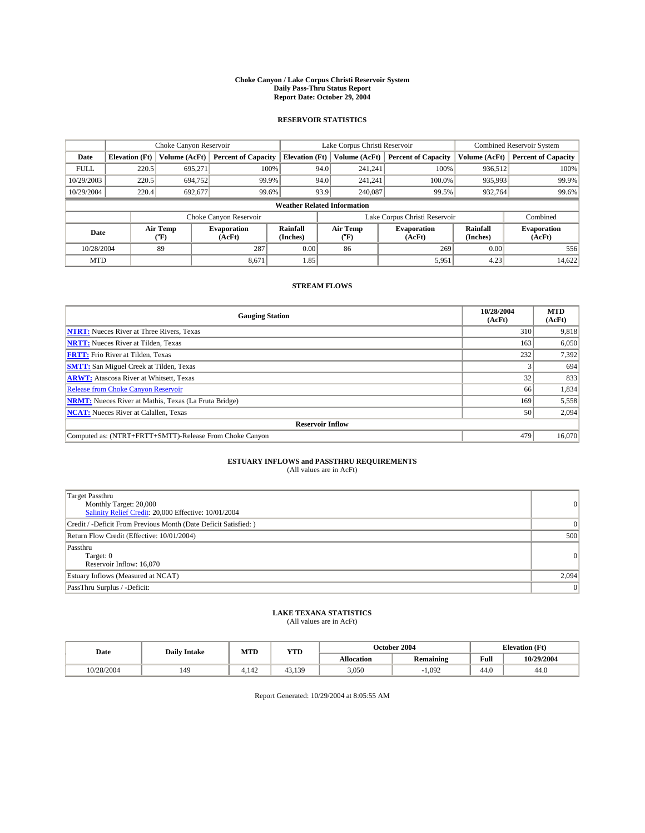#### **Choke Canyon / Lake Corpus Christi Reservoir System Daily Pass-Thru Status Report Report Date: October 29, 2004**

### **RESERVOIR STATISTICS**

|             | Choke Canyon Reservoir |                  |                              |                                    | Lake Corpus Christi Reservoir |                  |                              |                      | <b>Combined Reservoir System</b> |  |  |
|-------------|------------------------|------------------|------------------------------|------------------------------------|-------------------------------|------------------|------------------------------|----------------------|----------------------------------|--|--|
| Date        | <b>Elevation</b> (Ft)  | Volume (AcFt)    | <b>Percent of Capacity</b>   | <b>Elevation (Ft)</b>              |                               | Volume (AcFt)    | <b>Percent of Capacity</b>   | Volume (AcFt)        | <b>Percent of Capacity</b>       |  |  |
| <b>FULL</b> | 220.5                  | 695,271          | 100%                         |                                    | 94.0                          | 241,241          | 100%                         | 936.512              | 100%                             |  |  |
| 10/29/2003  | 220.5                  | 694,752          | 99.9%                        |                                    | 94.0                          | 241.241          | $100.0\%$                    | 935,993              | 99.9%                            |  |  |
| 10/29/2004  | 220.4                  | 692.677          | 99.6%                        |                                    | 93.9                          | 240,087          | 99.5%                        | 932,764              | 99.6%                            |  |  |
|             |                        |                  |                              | <b>Weather Related Information</b> |                               |                  |                              |                      |                                  |  |  |
|             |                        |                  | Choke Canyon Reservoir       |                                    | Lake Corpus Christi Reservoir |                  |                              |                      | Combined                         |  |  |
| Date        |                        | Air Temp<br>(°F) | <b>Evaporation</b><br>(AcFt) | Rainfall<br>(Inches)               |                               | Air Temp<br>("F) | <b>Evaporation</b><br>(AcFt) | Rainfall<br>(Inches) | <b>Evaporation</b><br>(AcFt)     |  |  |
| 10/28/2004  |                        | 89               | 287                          | 0.00                               |                               | 86               | 269                          | 0.00                 | 556                              |  |  |
| <b>MTD</b>  |                        |                  | 8,671                        | 1.85                               |                               |                  | 5,951                        | 4.23                 | 14,622                           |  |  |

## **STREAM FLOWS**

| <b>Gauging Station</b>                                       | 10/28/2004<br>(AcFt) | <b>MTD</b><br>(AcFt) |
|--------------------------------------------------------------|----------------------|----------------------|
| <b>NTRT:</b> Nueces River at Three Rivers, Texas             | 310                  | 9,818                |
| <b>NRTT:</b> Nueces River at Tilden, Texas                   | 163                  | 6,050                |
| <b>FRTT:</b> Frio River at Tilden, Texas                     | 232                  | 7,392                |
| <b>SMTT:</b> San Miguel Creek at Tilden, Texas               |                      | 694                  |
| <b>ARWT:</b> Atascosa River at Whitsett, Texas               | 32 <sub>1</sub>      | 833                  |
| <b>Release from Choke Canyon Reservoir</b>                   | 66                   | 1,834                |
| <b>NRMT:</b> Nueces River at Mathis, Texas (La Fruta Bridge) | 169                  | 5,558                |
| <b>NCAT:</b> Nueces River at Calallen, Texas                 | 50                   | 2,094                |
| <b>Reservoir Inflow</b>                                      |                      |                      |
| Computed as: (NTRT+FRTT+SMTT)-Release From Choke Canyon      | 479                  | 16.070               |

## **ESTUARY INFLOWS and PASSTHRU REQUIREMENTS**<br>(All values are in AcFt)

| Target Passthru<br>Monthly Target: 20,000<br>Salinity Relief Credit: 20,000 Effective: 10/01/2004 | 0              |
|---------------------------------------------------------------------------------------------------|----------------|
| Credit / -Deficit From Previous Month (Date Deficit Satisfied: )                                  | $\overline{0}$ |
| Return Flow Credit (Effective: 10/01/2004)                                                        | 500            |
| Passthru<br>Target: 0<br>Reservoir Inflow: 16,070                                                 | 0              |
| Estuary Inflows (Measured at NCAT)                                                                | 2,094          |
| PassThru Surplus / -Deficit:                                                                      | 0              |

# **LAKE TEXANA STATISTICS** (All values are in AcFt)

| Date       | <b>Daily Intake</b> | MTD                     | <b>YTD</b> |                   | October 2004     | <b>Elevation</b> (Ft)      |            |
|------------|---------------------|-------------------------|------------|-------------------|------------------|----------------------------|------------|
|            |                     |                         |            | <b>Allocation</b> | <b>Remaining</b> | Full                       | 10/29/2004 |
| 10/28/2004 | 149                 | $\overline{1}$<br>4.142 | 43<br>139  | 3,050             | 1.092            | $\sim$<br>44. <sub>v</sub> | 44.0       |

Report Generated: 10/29/2004 at 8:05:55 AM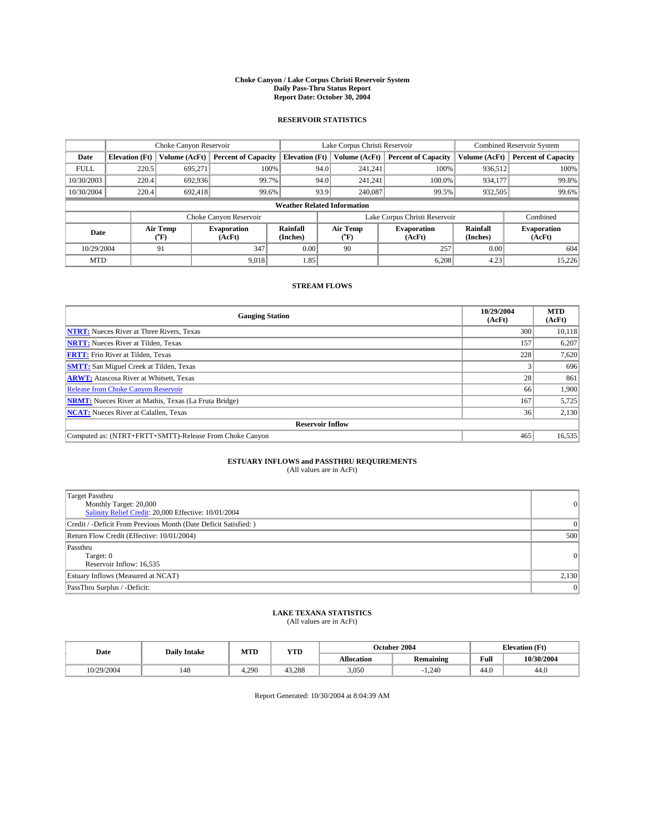#### **Choke Canyon / Lake Corpus Christi Reservoir System Daily Pass-Thru Status Report Report Date: October 30, 2004**

### **RESERVOIR STATISTICS**

|             | Choke Canyon Reservoir |                  |                              |                                    | Lake Corpus Christi Reservoir |                  |                              |                      | <b>Combined Reservoir System</b> |  |  |
|-------------|------------------------|------------------|------------------------------|------------------------------------|-------------------------------|------------------|------------------------------|----------------------|----------------------------------|--|--|
| Date        | <b>Elevation</b> (Ft)  | Volume (AcFt)    | <b>Percent of Capacity</b>   | <b>Elevation (Ft)</b>              |                               | Volume (AcFt)    | <b>Percent of Capacity</b>   | Volume (AcFt)        | <b>Percent of Capacity</b>       |  |  |
| <b>FULL</b> | 220.5                  | 695,271          |                              | 100%                               | 94.0                          | 241,241          | 100%                         | 936.512              | 100%                             |  |  |
| 10/30/2003  | 220.4                  | 692.936          |                              | 99.7%                              | 94.0                          | 241.241          | $100.0\%$                    | 934.177              | 99.8%                            |  |  |
| 10/30/2004  | 220.4                  | 692.418          | 99.6%                        |                                    | 93.9                          | 240,087          | 99.5%                        | 932,505              | 99.6%                            |  |  |
|             |                        |                  |                              | <b>Weather Related Information</b> |                               |                  |                              |                      |                                  |  |  |
|             |                        |                  | Choke Canyon Reservoir       |                                    | Lake Corpus Christi Reservoir |                  |                              |                      | Combined                         |  |  |
| Date        |                        | Air Temp<br>(°F) | <b>Evaporation</b><br>(AcFt) | Rainfall<br>(Inches)               |                               | Air Temp<br>("F) | <b>Evaporation</b><br>(AcFt) | Rainfall<br>(Inches) | <b>Evaporation</b><br>(AcFt)     |  |  |
| 10/29/2004  |                        | 91               | 347                          | 0.00                               |                               | 90               | 257                          | 0.00                 | 604                              |  |  |
| <b>MTD</b>  |                        |                  | 9.018                        | 1.85                               |                               |                  | 6,208                        | 4.23                 | 15,226                           |  |  |

## **STREAM FLOWS**

| <b>Gauging Station</b>                                       | 10/29/2004<br>(AcFt) | <b>MTD</b><br>(AcFt) |  |  |  |  |
|--------------------------------------------------------------|----------------------|----------------------|--|--|--|--|
| <b>NTRT:</b> Nueces River at Three Rivers, Texas             | 300                  | 10,118               |  |  |  |  |
| <b>NRTT:</b> Nueces River at Tilden, Texas                   | 157                  | 6,207                |  |  |  |  |
| <b>FRTT:</b> Frio River at Tilden, Texas                     | 228                  | 7,620                |  |  |  |  |
| <b>SMTT:</b> San Miguel Creek at Tilden, Texas               |                      | 696                  |  |  |  |  |
| <b>ARWT:</b> Atascosa River at Whitsett, Texas               | 28 <sub>1</sub>      | 861                  |  |  |  |  |
| <b>Release from Choke Canyon Reservoir</b>                   | 66                   | 1.900                |  |  |  |  |
| <b>NRMT:</b> Nueces River at Mathis, Texas (La Fruta Bridge) | 167                  | 5,725                |  |  |  |  |
| <b>NCAT:</b> Nueces River at Calallen, Texas                 | 36                   | 2,130                |  |  |  |  |
| <b>Reservoir Inflow</b>                                      |                      |                      |  |  |  |  |
| Computed as: (NTRT+FRTT+SMTT)-Release From Choke Canyon      | 465                  | 16,535               |  |  |  |  |

## **ESTUARY INFLOWS and PASSTHRU REQUIREMENTS**<br>(All values are in AcFt)

| Target Passthru<br>Monthly Target: 20,000<br>Salinity Relief Credit: 20,000 Effective: 10/01/2004 | $\overline{0}$ |
|---------------------------------------------------------------------------------------------------|----------------|
| Credit / -Deficit From Previous Month (Date Deficit Satisfied: )                                  | $\Omega$       |
| Return Flow Credit (Effective: 10/01/2004)                                                        | 500            |
| Passthru<br>Target: 0<br>Reservoir Inflow: 16,535                                                 | $\overline{0}$ |
| Estuary Inflows (Measured at NCAT)                                                                | 2,130          |
| PassThru Surplus / -Deficit:                                                                      | $\overline{0}$ |

# **LAKE TEXANA STATISTICS** (All values are in AcFt)

| Date<br><b>Daily Intake</b> |     | MTD   | <b>YTD</b> |                   | October 2004                             | <b>Elevation</b> (Ft)      |            |
|-----------------------------|-----|-------|------------|-------------------|------------------------------------------|----------------------------|------------|
|                             |     |       |            | <b>Allocation</b> | $\ddot{\phantom{a}}$<br><b>Remaining</b> | Full                       | 10/30/2004 |
| 0/29/2004                   | 148 | 4.290 | 43.288     | 3,050             | 1.240                                    | $\sim$<br>44. <sub>V</sub> | 44.0       |

Report Generated: 10/30/2004 at 8:04:39 AM